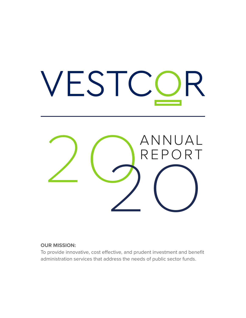

#### **OUR MISSION:**

To provide innovative, cost effective, and prudent investment and benefit administration services that address the needs of public sector funds.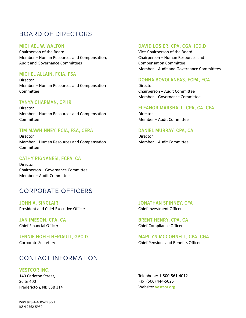# BOARD OF DIRECTORS

#### **MICHAEL W. WALTON**

Chairperson of the Board Member – Human Resources and Compensation, Audit and Governance Committees

#### **MICHEL ALLAIN, FCIA, FSA**

Director Member – Human Resources and Compensation Committee

#### **TANYA CHAPMAN, CPHR**

Director Member – Human Resources and Compensation Committee

#### **TIM MAWHINNEY, FCIA, FSA, CERA**

Director Member – Human Resources and Compensation Committee

#### **CATHY RIGNANESI, FCPA, CA**

Director Chairperson – Governance Committee Member – Audit Committee

# CORPORATE OFFICERS

**JOHN A. SINCLAIR** President and Chief Executive Officer

**JAN IMESON, CPA, CA** Chief Financial Officer

**JENNIE NOEL-THÉRIAULT, GPC.D** Corporate Secretary

#### CONTACT INFORMATION

#### **VESTCOR INC.**

140 Carleton Street, Suite 400 Fredericton, NB E3B 3T4

#### **DAVID LOSIER, CPA, CGA, ICD.D**

Vice-Chairperson of the Board Chairperson – Human Resources and Compensation Committee Member – Audit and Governance Committees

#### **DONNA BOVOLANEAS, FCPA, FCA**

Director Chairperson – Audit Committee Member – Governance Committee

#### **ELEANOR MARSHALL, CPA, CA, CFA**

Director Member – Audit Committee

#### **DANIEL MURRAY, CPA, CA**

**Director** Member – Audit Committee

**JONATHAN SPINNEY, CFA** Chief Investment Officer

**BRENT HENRY, CPA, CA** Chief Compliance Officer

#### **MARILYN MCCONNELL, CPA, CGA** Chief Pensions and Benefits Officer

Telephone: 1-800-561-4012 Fax: (506) 444-5025 Website: **vestcor.org**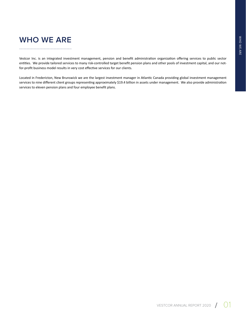# **WHO WE ARE**

Vestcor Inc. is an integrated investment management, pension and benefit administration organization offering services to public sector entities. We provide tailored services to many risk-controlled target benefit pension plans and other pools of investment capital, and our notfor-profit business model results in very cost effective services for our clients.

Located in Fredericton, New Brunswick we are the largest investment manager in Atlantic Canada providing global investment management services to nine different client groups representing approximately \$19.4 billion in assets under management. We also provide administration services to eleven pension plans and four employee benefit plans.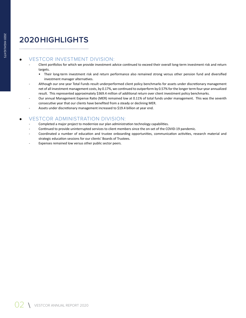# **2020 HIGHLIGHTS**

## VESTCOR INVESTMENT DIVISION:

- Client portfolios for which we provide investment advice continued to exceed their overall long-term investment risk and return targets.
	- Their long-term investment risk and return performance also remained strong versus other pension fund and diversified investment manager alternatives.
- Although our one year Total Funds result underperformed client policy benchmarks for assets under discretionary management net of all investment management costs, by 0.17%, we continued to outperform by 0.57% for the longer term four-year annualized result. This represented approximately \$369.4 million of additional return over client investment policy benchmarks.
- Our annual Management Expense Ratio (MER) remained low at 0.11% of total funds under management. This was the seventh consecutive year that our clients have benefited from a steady or declining MER.
- Assets under discretionary management increased to \$19.4 billion at year end.

## VESTCOR ADMINISTRATION DIVISION:

- Completed a major project to modernize our plan administration technology capabilities.
- Continued to provide uninterrupted services to client members since the on-set of the COVID-19 pandemic.
- Coordinated a number of education and trustee onboarding opportunities, communication activities, research material and strategic education sessions for our clients' Boards of Trustees.
- Expenses remained low versus other public sector peers.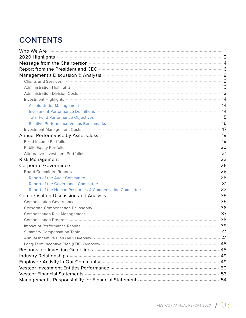# **CONTENTS**

| 2020 Highlights 2020 Highlights 2020 Highlights 2020 Highlights 2020 Highlights 2020 Highlights 2020 Highlights 2020 1999                                                                                                           |  |
|-------------------------------------------------------------------------------------------------------------------------------------------------------------------------------------------------------------------------------------|--|
| Message from the Chairperson <b>Commission Commission</b> 4                                                                                                                                                                         |  |
|                                                                                                                                                                                                                                     |  |
| Management's Discussion & Analysis <b>Election 2018</b> - Analysis 2018 - 2018 - 2018 - 2018 - 2019 - 2019 - 2019 - 201                                                                                                             |  |
|                                                                                                                                                                                                                                     |  |
|                                                                                                                                                                                                                                     |  |
|                                                                                                                                                                                                                                     |  |
|                                                                                                                                                                                                                                     |  |
| Assets Under Management <b>Management</b> Alleman Management of the Alleman Management of the Management of the Management of the Management of the Management of the Management of the Management of the Management of the Managem |  |
|                                                                                                                                                                                                                                     |  |
|                                                                                                                                                                                                                                     |  |
|                                                                                                                                                                                                                                     |  |
|                                                                                                                                                                                                                                     |  |
|                                                                                                                                                                                                                                     |  |
|                                                                                                                                                                                                                                     |  |
| Public Equity Portfolios <b>Construction Construction</b> 20                                                                                                                                                                        |  |
|                                                                                                                                                                                                                                     |  |
| Risk Management <b>Management</b> 23                                                                                                                                                                                                |  |
| Corporate Governance <b>Commission Commission</b> 26                                                                                                                                                                                |  |
| Board Committee Reports <b>Committee Reports</b> 28                                                                                                                                                                                 |  |
|                                                                                                                                                                                                                                     |  |
|                                                                                                                                                                                                                                     |  |
|                                                                                                                                                                                                                                     |  |
| Compensation Discussion and Analysis <b>Machinese Strategie and Analysis</b> 35                                                                                                                                                     |  |
| Compensation Governance <b>Company 35</b>                                                                                                                                                                                           |  |
|                                                                                                                                                                                                                                     |  |
|                                                                                                                                                                                                                                     |  |
|                                                                                                                                                                                                                                     |  |
|                                                                                                                                                                                                                                     |  |
|                                                                                                                                                                                                                                     |  |
| Annual Incentive Plan (AIP) Overview <b>Construction</b> Construction Construction A1                                                                                                                                               |  |
| Long-Term Incentive Plan (LTIP) Overview <b>Construction Construction</b> Construction Construction Construction Const                                                                                                              |  |
| Responsible Investing Guidelines <b>Manual Community and September 2018</b>                                                                                                                                                         |  |
|                                                                                                                                                                                                                                     |  |
| Employee Activity in Our Community <b>Employee Activity</b> in Our Community <b>Algorithms</b>                                                                                                                                      |  |
| Vestcor Investment Entities Performance <b>Manual Communities</b> 50                                                                                                                                                                |  |
| Vestcor Financial Statements <b>Commission Commission Commission</b> 53                                                                                                                                                             |  |
| Management's Responsibility for Financial Statements <b>Manual Community Constructs</b> 54                                                                                                                                          |  |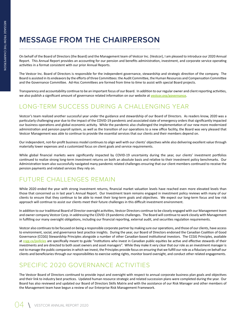# **MESSAGE FROM THE CHAIRPERSON**

On behalf of the Board of Directors (the Board) and the Management team of Vestcor Inc. (Vestcor), I am pleased to introduce our 2020 Annual Report. This Annual Report provides an accounting for our pension and benefits administration, investment, and corporate service operating activities in a format consistent with our prior Annual Reports.

The Vestcor Inc. Board of Directors is responsible for the independent governance, stewardship and strategic direction of the company. The Board is assisted in its endeavors by the efforts of three Committees: the Audit Committee, the Human Resources and Compensation Committee and the Governance Committee. Ad-Hoc Committees are formed from time to time to assist with special Board projects.

Transparency and accountability continue to be an important focus of our Board. In addition to our regular owner and client reporting activities, we also publish a significant amount of governance related information on our website at **vestcor.org/governance**.

## LONG-TERM SUCCESS DURING A CHALLENGING YEAR

Vestcor's team realized another successful year under the guidance and stewardship of our Board of Directors. As readers know, 2020 was a particularly challenging year due to the impact of the COVID-19 pandemic and associated state of emergency orders that significantly impacted our business operations and global economic activity. While the pandemic also challenged the implementation of our new more modernized administration and pension payroll system, as well as the transition of our operations to a new office facility, the Board was very pleased that Vestcor Management was able to continue to provide the essential services that our clients and their members depend on.

Our independent, not-for-profit business model continues to align well with our clients' objectives while also delivering excellent value through materially lower expenses and a customized focus on client goals and service requirements.

While global financial markets were significantly impacted by COVID-19 uncertainty during the year, our clients' investment portfolios continued to realize strong long-term investment returns on both an absolute basis and relative to their investment policy benchmarks. Our Administration team also successfully navigated many pandemic related challenges ensuring that our client members continued to receive the pension payments and related services they rely on.

## FUTURE CHALLENGES REMAIN

While 2020 ended the year with strong investment returns, financial market valuation levels have reached even more elevated levels than those that concerned us in last year's Annual Report. Our Investment team remains engaged in investment policy reviews with many of our clients to ensure that they continue to be able to meet their long-term goals and objectives. We expect our long-term focus and low risk approach will continue to assist our clients meet their future challenges in this difficult investment environment.

In addition to our traditional Board of Director oversight activities, Vestcor Directors continue to be closely engaged with our Management team and owner company Vestcor Corp. in addressing the COVID-19 pandemic challenges. The Board will continue to work closely with Management in fulfilling our many oversight obligations, including our financial reporting, external audit, and securities regulation requirements.

Vestcor also continues to be focused on being a responsible corporate partner by making sure our operations, and those of our clients, have access to environment, social, and governance best practice insights. During the year, our Board of Directors endorsed the Canadian Coalition of Good Governance (CCGG) Stewardship Principles alongside a number of other Canadian-based institutional investors. The CCGG Principles, available at **ccgg.ca/policies** are specifically meant to guide "institutions who invest in Canadian public equities be active and effective stewards of their investments and are directed to both asset owners and asset managers". While they make it very clear that our role as an investment manager is not to manage the public companies in which we invest, the Principles provide focus on ensuring that we fulfill our role as a fiduciary on behalf our clients and beneficiaries through our responsibilities to exercise voting rights, monitor board oversight, and conduct other related engagements.

## SPECIFIC 2020 GOVERNANCE ACTIVITIES

The Vestcor Board of Directors continued to provide input and oversight with respect to annual corporate business plan goals and objectives and their link to industry best practices. Updated human resource strategic and related succession plans were completed during the year. Our Board has also reviewed and updated our Board of Directors Skills Matrix and with the assistance of our Risk Manager and other members of the Management team have begun a review of our Enterprise Risk Management Framework.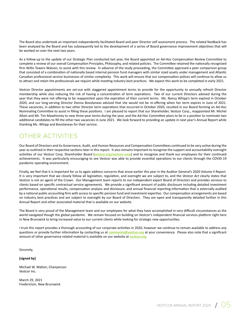The Board also undertook an important independently facilitated Board and peer Director self assessment process. The related feedback has been analyzed by the Board and has subsequently led to the development of a series of Board governance improvement objectives that will be worked on over the next two years.

As a follow-up to the update of our Strategic Plan conducted last year, the Board appointed an Ad-Hoc Compensation Review Committee to complete a review of our overall Compensation Principles, Philosophy, and related policies. The Committee retained the nationally recognized firm Willis Towers Watson, to assist with this review. In advance of the study proceeding, the Committee approved a peer comparison group that consisted of a combination of nationally based internal pension fund managers with similar sized assets under management and Atlantic Canadian professional service businesses of similar complexity. This work will ensure that our compensation polices will continue to allow us to attract and retain the professionals we require while meeting industry best practices. We expect this work to be completed in early 2021.

Vestcor Director appointments are set-out with staggered appointment terms to provide for the opportunity to annually refresh Director membership while also reducing the risk of having a concentration of term expirations. Two of our current Directors advised during the year that they were not offering to be reappointed upon the expiration of their current terms. Ms. Nancy Whipp's term expired in October 2020, and our long-serving Director Donna Bovolaneas advised that she would not be re-offering when her term expires in June of 2021. These vacancies, in addition to two other Director term expirations that occurred in October 2020, resulted in our Board forming an Ad-Hoc Nominating Committee to assist in filling these positions. I am pleased to report that our Shareholder, Vestcor Corp., reappointed Mr. Michel Allain and Mr. Tim Mawhinney to new three-year terms during the year, and the Ad-Hoc Committee plans to be in a position to nominate two additional candidates to fill the other two vacancies in June 2021. We look forward to providing an update in next year's Annual Report while thanking Ms. Whipp and Bovolaneas for their service.

## OTHER ACTIVITIES

Our Board of Directors and its Governance, Audit, and Human Resources and Compensation Committees continued to be very active during the year as outlined in their respective sections later in this report. It also remains important to recognize the support and accountability oversight activities of our Vestcor Corp. Shareholder Board (**vestcor.org/vestcor-corp**) and to recognize and thank our employees for their continued achievements. It was particularly encouraging to see Vestcor was able to provide essential operations to our clients through the COVID-19 pandemic operating environment.

Finally, we feel that it is important for us to again address concerns that arose earlier this year in the Auditor General's 2020 Volume II Report. It is very important that we closely follow all legislation, regulation, and oversight we are subject to, and the *Vestcor Act* clearly states that Vestcor is not an agent of the Crown. Our Management team reports to our independent expert Board of Directors and provides services to clients based on specific contractual service agreements. We provide a significant amount of public disclosure including detailed investment performance, operational results, compensation analysis and disclosure, and annual financial reporting information that is externally audited by a national public accounting firm with access to specific pension fund and investment expertise. Our compensation arrangements are based on industry best practices and are subject to oversight by our Board of Directors. They are open and transparently detailed further in this Annual Report and other associated material that is available on our website.

The Board is very proud of the Management team and our employees for what they have accomplished in very difficult circumstances as the world navigated though the global pandemic. We remain focused on building on Vestcor's independent financial services platform right here in New Brunswick to bring increased value to our current clients while looking for strategic new opportunities.

I trust this report provides a thorough accounting of our corporate activities in 2020, however we continue to remain available to address any questions or provide further information by contacting us at **comments@vestcor.org** at your convenience. Please also note that a significant amount of other governance related material is available on our website at **vestcor.org**.

Sincerely,

**[signed by]**

Michael W. Walton, Chairperson Vestcor Inc.

March 29, 2021 Fredericton, New Brunswick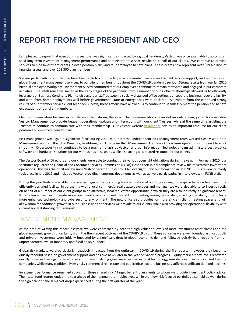# **REPORT FROM THE PRESIDENT AND CEO**

I am pleased to report that even during a year that was significantly impacted by a global pandemic, Vestcor was once again able to accomplish solid long-term investment management performance and administration service results on behalf of our clients. We continue to provide services to nine investment clients, eleven pension plans, and four employee benefit plans. These clients now represent over \$19.4 billion of financial assets, and over 103,300 plan members.

We are particularly proud that we have been able to continue to provide essential pension and benefit service support, and uninterrupted global investment management services, to our client members throughout the COVID-19 pandemic period. Strong results from our fall 2020 biennial employee Workplace Environment Survey confirmed that our employees continue to remain motivated and engaged in our corporate activities. The intelligence we gained in the early stages of the pandemic from a number of our global relationships allowed us to efficiently leverage our Business Continuity Plan to disperse our staff between a socially distanced office setting, our separate business recovery facility, and work from home deployments well before governmental state of emergencies were declared. As evident from the continued strong results of our member service client feedback surveys, these actions have allowed us to continue to seamlessly meet the pension and benefit expectations of our client members.

Client communication became extremely important during the year. Our Communications team did an outstanding job in both assisting Vestcor Management to provide frequent operational updates and interactions with our client Trustees, while at the same time assisting the Trustees to continue to communicate with their membership. Our Vestcor website **vestcor.org** acts as an important resource for our client pension and employee benefit plans.

Risk management was again a significant focus during 2020 as our internal independent Risk Management team worked closely with both Management and our Board of Directors, in utilizing our Enterprise Risk Management Framework to ensure operations continued to work smoothly. Cybersecurity risk continues to be a main emphasis at Vestcor and our Information Technology team administers best practice software and hardware solutions for our various business units, while also acting as a related resource for our clients.

The Vestcor Board of Directors and our clients were able to conduct their various oversight obligations during the year. In February 2020, our securities regulator the Financial and Consumer Services Commission (FCNB) closed their initial compliance review file of Vestcor's investment operations. This was their first review since Vestcor became subject to FCNB oversight upon our formation in late 2016. This review primarily took place in late 2019 and included Vestcor providing numerous documents as well as actively participating in interviews with FCNB staff.

During the year Vestcor was able to take advantage of the upcoming lease expiration of our long serving office space to move to a new more efficiently designed facility. In partnering with a local commercial real estate developer and manager we were also able to co-invest directly on behalf of a number of our client groups in an attractive, local real estate opportunity in which they are also indirectly a significant tenant. It has allowed Vestcor to create more open workspaces and well thought out meeting rooms, while also providing the ability to employ a more enhanced technology and cybersecurity environment. The new office also provides for more efficient client meeting spaces and will allow room for additional growth in our business and the services we provide to our clients, while also providing for operational flexibility with current social distancing requirements.

## INVESTMENT MANAGEMENT

At the time of writing this report last year, we were concerned by both the high valuation levels of most investment asset classes and the global economic growth uncertainty from the then recent outbreak of the COVID-19 virus. These concerns were well founded as most public and private investments were initially impacted by a significant drop in global economic demand followed quickly by a rebound from an unprecedented level of monetary and fiscal policy support.

Global risk markets were particularly negatively impacted from the outbreak in COVID-19 during the first quarter, however they began to quickly rebound based on government support and positive news later in the year on vaccine progress. Equity market index levels recovered quickly however these gains became very bifurcated. Strong gains were realized in most technology, remote consumer service, and logistics companies, while many traditionally less risky commercial real estate and public infrastructure businesses suffered significant demand declines.

Investment performance remained strong for those shared risk / target benefit plan clients to whom we provide investment policy advice. Their total fund returns ended the year ahead of their annual return objectives, while their low-risk focused portfolios also held up well during the significant financial market drop experienced during the first quarter of the year.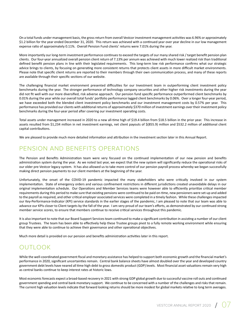On a total funds under management basis, the gross return from overall Vestcor investment management activities was 6.96% or approximately \$1.2 billion for the year ended December 31, 2020. This return was achieved with a continued year over year decline in our low management expense ratio of approximately 0.11%. Overall Pension Fund clients' returns were 7.01% during the year.

More importantly our long-term investment performance continues to exceed the targets of our many shared risk / target benefit pension plan clients. Our four-year annualized overall pension client return of 7.13% per annum was achieved with much lower realized risk than traditional defined benefit pension plans in line with their legislated requirements. This long-term low risk performance confirms what our strategic advice brings to clients, by focusing on generating more consistent returns that protects client assets in more difficult market environments. Please note that specific client returns are reported to their members through their own communication process, and many of these reports are available through their specific sections of our website.

The challenging financial market environment presented difficulties for our Investment team in outperforming client investment policy benchmarks during the year. The stronger performance of technology company securities and other higher risk investments during the year did not fit well with our more diversified, risk adverse approach. Our pension fund specific performance outperformed client benchmarks by 0.01% during the year while our overall total funds' portfolio performance lagged client benchmarks by 0.06%. Over a longer four-year period, we have exceeded both the blended client investment policy benchmarks and our investment management costs by 0.57% per year. This performance has provided our clients with additional returns of approximately \$370 million of investment earnings over their investment policy benchmarks during the four-year period after covering our investment operating costs.

Total assets under management increased in 2020 to a new all-time high of \$19.4 billion from \$18.5 billion in the prior year. This increase in assets resulted from \$1,234 million in net investment earnings, net client payouts of \$(855.9) million and \$532.2 million of additional client capital contributions.

We are pleased to provide much more detailed information and attribution in the investment section later in this Annual Report.

## PENSION AND BENEFITS OPERATIONS

The Pension and Benefits Administration team were very focused on the continued implementation of our new pension and benefits administration system during the year. As we noted last year, we expect that the new system will significantly reduce the operational risks of our older pre-Vestcor legacy system. It has also allowed us to take more control of our pension payroll process whereby we began successfully making direct pension payments to our client members at the beginning of the year.

Unfortunately, the onset of the COVID-19 pandemic impacted the many stakeholders who were critically involved in our system implementation. State of emergency orders and various confinement restrictions in different jurisdictions created unavoidable delays in our original implementation schedule. Our Operations and Member Services teams were however able to efficiently prioritize critical member requirements during this period to make sure that existing pensions were continued to be paid on-time, new pensioners were set-up and added to the payroll as required, and other critical employer associated services were completed in a timely fashion. While these challenges impacted our Key-Performance-Indicator (KPI) service standards in the earlier stages of the pandemic, I am pleased to note that our team was able to advance our KPIs closer to Client targets by the fall of the year. I am very proud of our team's efforts, as demonstrated by our continued strong member service scores, to ensure that members continue to receive critical services throughout this pandemic.

It is also important to note that our Board Support Services team continued to make a significant contribution in assisting a number of our client group Trustees. The team has been able to effectively help these Trustee groups pivot to a fully remote working environment while ensuring that they were able to continue to achieve their governance and other operational objectives.

Much more detail is provided on our pension and benefits administration activities later in this report.

## OUTLOOK

While the well-coordinated government fiscal and monetary assistance has helped to support both economic growth and the financial market's performance in 2020, significant uncertainties remain. Central bank balance sheets have almost doubled over the year and developed country government debt levels have neared all time high debt to gross domestic product (GDP) levels. Most financial asset valuations remain very high as central banks continue to keep interest rates at historic lows.

Most economic forecasts expect a broad-based recovery in 2021 with strong GDP global growth due to successful vaccine roll outs and continued government spending and central bank monetary support. We continue to be concerned with a number of the challenges and risks that remain. The current high valuation levels indicate that forward looking returns should be more modest for global markets relative to long term averages.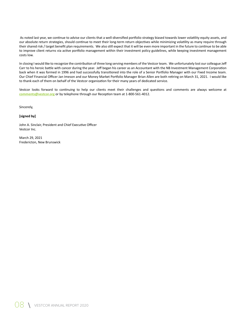As noted last year, we continue to advise our clients that a well-diversified portfolio strategy biased towards lower volatility equity assets, and our absolute return strategies, should continue to meet their long-term return objectives while minimizing volatility as many require through their shared risk / target benefit plan requirements. We also still expect that it will be even more important in the future to continue to be able to improve client returns via active portfolio management within their investment policy guidelines, while keeping investment management costs low.

In closing I would like to recognize the contribution of three long serving members of the Vestcor team. We unfortunately lost our colleague Jeff Carr to his heroic battle with cancer during the year. Jeff began his career as an Accountant with the NB Investment Management Corporation back when it was formed in 1996 and had successfully transitioned into the role of a Senior Portfolio Manager with our Fixed Income team. Our Chief Financial Officer Jan Imeson and our Money Market Portfolio Manager Brian Allen are both retiring on March 31, 2021. I would like to thank each of them on behalf of the Vestcor organization for their many years of dedicated service.

Vestcor looks forward to continuing to help our clients meet their challenges and questions and comments are always welcome at **comments@vestcor.org** or by telephone through our Reception team at 1-800-561-4012.

Sincerely,

#### **[signed by]**

John A. Sinclair, President and Chief Executive Officer Vestcor Inc.

March 29, 2021 Fredericton, New Brunswick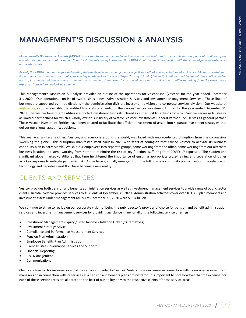# **MANAGEMENT'S DISCUSSION & ANALYSIS**

*Management's Discussion & Analysis (MD&A) is provided to enable the reader to interpret the material trends, the results and the financial condition of the organization. Key elements of the annual financial statements are explained, and this MD&A should be read in conjunction with these annual financial statements and related notes.* 

*As well, this MD&A may contain forward-looking statements reflecting management's objectives, outlook and expectations which involve risks and uncertainties. Forward-looking statements are usually preceded by words such as "believe", "expect", "may", "could", "intend", "continue" and "estimate". We caution readers not to place undue reliance on these statements as a number of important factors could cause our actual results to differ materially from the expectations expressed in such forward-looking statements.*

This Management's Discussion & Analysis provides an outline of the operations for Vestcor Inc. (Vestcor) for the year ended December 31, 2020. Our operations consist of two business lines: Administration Services and Investment Management Services. These lines of business are supported by three divisions – the administration division, investment division and corporate services division. Our website at **vestcor.org** also has available the audited financial statements for the various Vestcor Investment Entities for the year ended December 31, 2020. The Vestcor Investment Entities are pooled investment funds structured as either unit trust funds for which Vestcor serves as trustee or as limited partnerships for which a wholly owned subsidiary of Vestcor, Vestcor Investments General Partner, Inc., serves as general partner. These Vestcor Investment Entities have been created to facilitate the efficient investment of assets into separate investment strategies that deliver our clients' asset mix decisions.

This year was unlike any other. Vestcor, and everyone around the world, was faced with unprecedented disruption from the coronavirus sweeping the globe. This disruption manifested itself early in 2020 with fears of contagion that caused Vestcor to activate its business continuity plan in early March. We split our employees into separate groups, some working from the office, some working from our alternate business location and some working from home to minimize the risk of key functions suffering from COVID-19 exposure. The sudden and significant global market volatility at that time heightened the importance of ensuring appropriate cross-training and separation of duties as a key response to mitigate pandemic risk. As we have gradually emerged from the full business continuity plan activation, the reliance on technology and paperless workflow have become a new reality.

## CLIENTS AND SERVICES

Vestcor provides both pension and benefits administration services as well as investment management services to a wide range of public sector clients. In total, Vestcor provides services to 19 clients at December 31, 2020. Administration activities cover over 103,300 plan members and investment assets under management (AUM) at December 31, 2020 were \$19.4 billion.

We continue to strive to realize on our corporate vision of being the public sector's provider of choice for pension and benefit administration services and investment management services by providing assistance in any or all of the following service offerings:

- Investment Management (Equity / Fixed Income / Inflation Linked / Alternatives)
- Investment Strategy Advice
- Compliance and Performance Measurement Services
- Pension Plan Administration
- Employee Benefits Plan Administration
- Client Trustee Governance Services and Support
- Financial Reporting
- Risk Management
- **Communications**

Clients are free to choose some, or all, of the services provided by Vestcor. Vestcor incurs expenses in connection with its services as investment manager and in connection with its services as a pension and benefits plan administrator. It is important to note however that the expenses for each of these service areas are allocated to the best of our ability only to the respective clients of those service areas.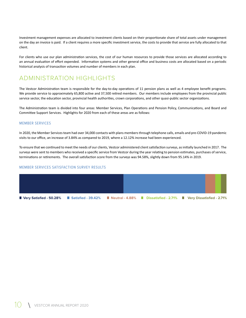Investment management expenses are allocated to investment clients based on their proportionate share of total assets under management on the day an invoice is paid. If a client requires a more specific investment service, the costs to provide that service are fully allocated to that client.

For clients who use our plan administration services, the cost of our human resources to provide those services are allocated according to an annual evaluation of effort expended. Information systems and other general office and business costs are allocated based on a periodic historical analysis of transaction volumes and number of members in each plan.

## ADMINISTRATION HIGHLIGHTS

The Vestcor Administration team is responsible for the day-to-day operations of 11 pension plans as well as 4 employee benefit programs. We provide service to approximately 65,800 active and 37,500 retired members. Our members include employees from the provincial public service sector, the education sector, provincial health authorities, crown corporations, and other quasi-public sector organizations.

The Administration team is divided into four areas: Member Services, Plan Operations and Pension Policy, Communications, and Board and Committee Support Services. Highlights for 2020 from each of these areas are as follows:

#### MEMBER SERVICES

In 2020, the Member Services team had over 34,000 contacts with plans members through telephone calls, emails and pre-COVID-19 pandemic visits to our office, an increase of 3.84% as compared to 2019, where a 12.12% increase had been experienced.

To ensure that we continued to meet the needs of our clients, Vestcor administered client satisfaction surveys, as initially launched in 2017. The surveys were sent to members who received a specific service from Vestcor during the year relating to pension estimates, purchases of service, terminations or retirements. The overall satisfaction score from the surveys was 94.58%, slightly down from 95.14% in 2019.

#### MEMBER SERVICES SATISFACTION SURVEY RESULTS

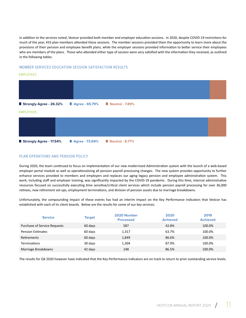In addition to the services noted, Vestcor provided both member and employer education sessions. In 2020, despite COVID-19 restrictions for much of the year, 433 plan members attended these sessions. The member sessions provided them the opportunity to learn more about the provisions of their pension and employee benefit plans, while the employer sessions provided information to better service their employees who are members of the plans. Those who attended either type of session were very satisfied with the information they received, as outlined in the following tables.

#### MEMBER SERVICES EDUCATION SESSION SATISFACTION RESULTS

#### EMPLOYEES



## **Strongly Agree - 17.54% Agree - 73.69% Neutral - 8.77%**

#### PLAN OPERATIONS AND PENSION POLICY

During 2020, the team continued to focus on implementation of our new modernized Administration system with the launch of a web-based employer portal module as well as operationalizing all pension payroll processing changes. The new system provides opportunity to further enhance services provided to members and employers and replaces our aging legacy pension and employee administration system. This work, including staff and employer training, was significantly impacted by the COVID-19 pandemic. During this time, internal administrative resources focused on successfully executing time sensitive/critical client services which include pension payroll processing for over 36,000 retirees, new retirement set-ups, employment terminations, and division of pension assets due to marriage breakdowns.

Unfortunately, the compounding impact of these events has had an interim impact on the Key Performance Indicators that Vestcor has established with each of its client boards. Below are the results for some of our key services.

| <b>Service</b>                      | <b>Target</b> | 2020 Number<br><b>Processed</b> | 2020<br><b>Achieved</b> | 2019<br><b>Achieved</b> |
|-------------------------------------|---------------|---------------------------------|-------------------------|-------------------------|
| <b>Purchase of Service Requests</b> | 60 days       | 587                             | 42.8%                   | 100.0%                  |
| <b>Pension Estimates</b>            | 60 days       | 1,317                           | 63.7%                   | 100.0%                  |
| <b>Retirements</b>                  | 60 days       | 1,849                           | 86.6%                   | 100.0%                  |
| <b>Terminations</b>                 | 30 days       | 1,304                           | 87.9%                   | 100.0%                  |
| Marriage Breakdowns                 | 42 days       | 148                             | 86.5%                   | 100.0%                  |

The results for Q4 2020 however have indicated that the Key Performance Indicators are on track to return to prior outstanding service levels.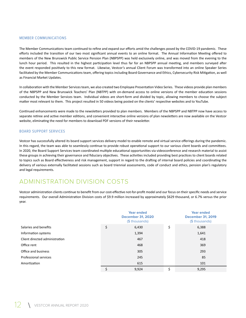#### MEMBER COMMUNICATIONS

The Member Communications team continued to refine and expand our efforts amid the challenges posed by the COVID-19 pandemic. These efforts included the transition of our two most significant annual events to an online format. The Annual Information Meeting offered to members of the New Brunswick Public Service Pension Plan (NBPSPP) was held exclusively online, and was moved from the evening to the lunch hour period. This resulted in the highest participation level thus far for an NBPSPP annual meeting, and members surveyed after the event responded positively to this new format. Likewise, Vestcor's annual Client Forum was transformed into an online Speaker Series facilitated by the Member Communications team, offering topics including Board Governance and Ethics, Cybersecurity Risk Mitigation, as well as Financial Market Updates.

In collaboration with the Member Services team, we also created two Employee Presentation Video Series. These videos provide plan members of the NBPSPP and New Brunswick Teachers' Plan (NBTPP) with on-demand access to online versions of the member education sessions conducted by the Member Services team. Individual videos are short-form and divided by topic, allowing members to choose the subject matter most relevant to them. This project resulted in 50 videos being posted on the clients' respective websites and to YouTube.

Continued enhancements were made to the newsletters provided to plan members. Members of the NBPSPP and NBTPP now have access to separate retiree and active member editions, and convenient interactive online versions of plan newsletters are now available on the Vestcor website, eliminating the need for members to download PDF versions of their newsletter.

#### BOARD SUPPORT SERVICES

Vestcor has successfully altered its board support services delivery model to enable remote and virtual service offerings during the pandemic. In this regard, the team was able to seamlessly continue to provide robust operational support to our various client boards and committees. In 2020, the Board Support Services team coordinated multiple educational opportunities via videoconference and research material to assist these groups in achieving their governance and fiduciary objectives. These activities included providing best practices to client boards related to topics such as Board effectiveness and risk management, support in regard to the drafting of internal board policies and coordinating the delivery of various externally facilitated sessions such as board triennial assessments, code of conduct and ethics, pension plan's regulatory and legal requirements.

## ADMINISTRATION DIVISION COSTS

Vestcor administration clients continue to benefit from our cost-effective not-for-profit model and our focus on their specific needs and service requirements. Our overall Administration Division costs of \$9.9 million increased by approximately \$629 thousand, or 6.7% versus the prior year.

|                                | <b>Year ended</b><br><b>December 31, 2020</b><br>(\$ thousands) | Year ended<br><b>December 31, 2019</b><br>(\$ thousands) |
|--------------------------------|-----------------------------------------------------------------|----------------------------------------------------------|
| Salaries and benefits          | \$<br>6,430                                                     | \$<br>6,388                                              |
| Information systems            | 1,394                                                           | 1,641                                                    |
| Client directed administration | 467                                                             | 418                                                      |
| Office rent                    | 468                                                             | 369                                                      |
| Office and business            | 305                                                             | 293                                                      |
| Professional services          | 245                                                             | 85                                                       |
| Amortization                   | 615                                                             | 101                                                      |
|                                | 9,924                                                           | \$<br>9,295                                              |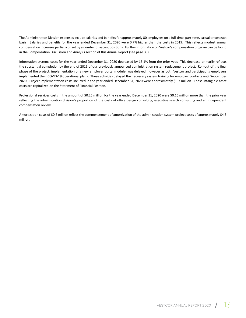The Administration Division expenses include salaries and benefits for approximately 80 employees on a full-time, part-time, casual or contract basis. Salaries and benefits for the year ended December 31, 2020 were 0.7% higher than the costs in 2019. This reflects modest annual compensation increases partially offset by a number of vacant positions. Further information on Vestcor's compensation program can be found in the Compensation Discussion and Analysis section of this Annual Report (see page 35).

Information systems costs for the year ended December 31, 2020 decreased by 15.1% from the prior year. This decrease primarily reflects the substantial completion by the end of 2019 of our previously announced administration system replacement project. Roll-out of the final phase of the project, implementation of a new employer portal module, was delayed, however as both Vestcor and participating employers implemented their COVID-19 operational plans. These activities delayed the necessary system training for employer contacts until September 2020. Project implementation costs incurred in the year ended December 31, 2020 were approximately \$0.3 million. These intangible asset costs are capitalized on the Statement of Financial Position.

Professional services costs in the amount of \$0.25 million for the year ended December 31, 2020 were \$0.16 million more than the prior year reflecting the administration division's proportion of the costs of office design consulting, executive search consulting and an independent compensation review.

Amortization costs of \$0.6 million reflect the commencement of amortization of the administration system project costs of approximately \$4.5 million.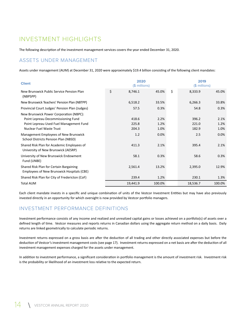## INVESTMENT HIGHLIGHTS

The following description of the investment management services covers the year ended December 31, 2020.

## ASSETS UNDER MANAGEMENT

Assets under management (AUM) at December 31, 2020 were approximately \$19.4 billion consisting of the following client mandates:

| <b>Client</b>                                                                         |               | 2020<br>(\$ millions) |               | 2019<br>$($$ millions) |
|---------------------------------------------------------------------------------------|---------------|-----------------------|---------------|------------------------|
| New Brunswick Public Service Pension Plan<br>(NBPSPP)                                 | \$<br>8,746.1 | 45.0%                 | \$<br>8,333.9 | 45.0%                  |
| New Brunswick Teachers' Pension Plan (NBTPP)                                          | 6,518.2       | 33.5%                 | 6,266.3       | 33.8%                  |
| Provincial Court Judges' Pension Plan (Judges)                                        | 57.5          | 0.3%                  | 54.8          | 0.3%                   |
| New Brunswick Power Corporation (NBPC):                                               |               |                       |               |                        |
| Point Lepreau Decommissioning Fund                                                    | 418.6         | 2.2%                  | 396.2         | 2.1%                   |
| Point Lepreau Used Fuel Management Fund                                               | 225.8         | 1.2%                  | 221.0         | 1.2%                   |
| Nuclear Fuel Waste Trust                                                              | 204.3         | 1.0%                  | 182.9         | 1.0%                   |
| Management Employees of New Brunswick<br>School Districts Pension Plan (NBSD)         | 1.2           | 0.0%                  | 2.5           | 0.0%                   |
| Shared Risk Plan for Academic Employees of<br>University of New Brunswick (AESRP)     | 411.3         | 2.1%                  | 395.4         | 2.1%                   |
| University of New Brunswick Endowment<br>Fund (UNBE)                                  | 58.1          | 0.3%                  | 58.6          | 0.3%                   |
| Shared Risk Plan for Certain Bargaining<br>Employees of New Brunswick Hospitals (CBE) | 2,561.4       | 13.2%                 | 2,395.0       | 12.9%                  |
| Shared Risk Plan for City of Fredericton (CoF)                                        | 239.4         | 1.2%                  | 230.1         | 1.3%                   |
| <b>Total AUM</b>                                                                      | 19,441.9      | 100.0%                | 18,536.7      | 100.0%                 |

Each client mandate invests in a specific and unique combination of units of the Vestcor Investment Entities but may have also previously invested directly in an opportunity for which oversight is now provided by Vestcor portfolio managers.

## INVESTMENT PERFORMANCE DEFINITIONS

Investment performance consists of any income and realized and unrealized capital gains or losses achieved on a portfolio(s) of assets over a defined length of time. Vestcor measures and reports returns in Canadian dollars using the aggregate return method on a daily basis. Daily returns are linked geometrically to calculate periodic returns.

Investment returns expressed on a gross basis are after the deduction of all trading and other directly associated expenses but before the deduction of Vestcor's investment management costs (see page 17). Investment returns expressed on a net basis are after the deduction of all investment management expenses charged for the assets under management.

In addition to investment performance, a significant consideration in portfolio management is the amount of investment risk. Investment risk is the probability or likelihood of an investment loss relative to the expected return.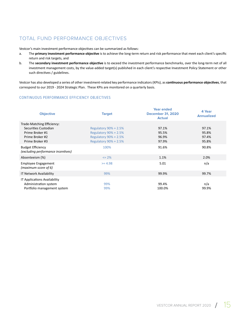## TOTAL FUND PERFORMANCE OBJECTIVES

Vestcor's main investment performance objectives can be summarized as follows:

- a. The **primary investment performance objective** is to achieve the long-term return and risk performance that meet each client's specific return and risk targets, and
- b. The **secondary investment performance objective** is to exceed the investment performance benchmarks, over the long-term net of all investment management costs, by the value-added target(s) published in each client's respective Investment Policy Statement or other such directives / guidelines.

Vestcor has also developed a series of other investment-related key performance indicators (KPIs), as **continuous performance objectives**, that correspond to our 2019 - 2024 Strategic Plan. These KPIs are monitored on a quarterly basis.

#### CONTINUOUS PERFORMANCE EFFICIENCY OBJECTIVES

| <b>Objective</b>                                                                                            | <b>Target</b>                                                                                                                | <b>Year ended</b><br><b>December 31, 2020</b><br><b>Actual</b> | 4 Year<br><b>Annualized</b>      |
|-------------------------------------------------------------------------------------------------------------|------------------------------------------------------------------------------------------------------------------------------|----------------------------------------------------------------|----------------------------------|
| Trade-Matching Efficiency:<br>Securities Custodian<br>Prime Broker #1<br>Prime Broker #2<br>Prime Broker #3 | <b>Regulatory 90% + 2.5%</b><br><b>Regulatory 90% + 2.5%</b><br><b>Regulatory 90% + 2.5%</b><br><b>Regulatory 90% + 2.5%</b> | 97.1%<br>95.5%<br>96.9%<br>97.9%                               | 97.1%<br>95.8%<br>97.4%<br>95.8% |
| <b>Budget Efficiency</b><br>(excluding performance incentives)                                              | 100%                                                                                                                         | 91.6%                                                          | 90.8%                            |
| Absenteeism (%)                                                                                             | $\leq$ 2%                                                                                                                    | 1.1%                                                           | 2.0%                             |
| <b>Employee Engagement</b><br>(maximum score of $6$ )                                                       | $>= 4.98$                                                                                                                    | 5.01                                                           | n/a                              |
| IT Network Availability                                                                                     | 99%                                                                                                                          | 99.9%                                                          | 99.7%                            |
| IT Applications Availability<br>Administration system<br>Portfolio management system                        | 99%<br>99%                                                                                                                   | 99.4%<br>100.0%                                                | n/a<br>99.9%                     |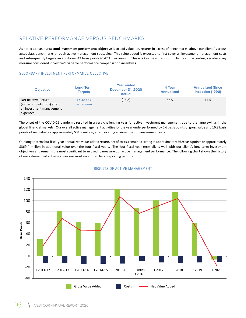## RELATIVE PERFORMANCE VERSUS BENCHMARKS

As noted above, our **second investment performance objective** is to add value (i.e. returns in excess of benchmarks) above our clients' various asset class benchmarks through active management strategies. This value added is expected to first cover all investment management costs and subsequently targets an additional 42 basis points (0.42%) per annum. This is a key measure for our clients and accordingly is also a key measure considered in Vestcor's variable performance compensation incentives.

#### SECONDARY INVESTMENT PERFORMANCE OBJECTIVE

| <b>Objective</b>                                                                              | Long-Term<br><b>Targets</b> | <b>Year ended</b><br><b>December 31, 2020</b><br><b>Actual</b> | 4 Year<br><b>Annualized</b> | <b>Annualized Since</b><br>Inception (1996) |
|-----------------------------------------------------------------------------------------------|-----------------------------|----------------------------------------------------------------|-----------------------------|---------------------------------------------|
| Net Relative Return<br>(in basis points (bps) after<br>all investment management<br>expenses) | $>= 42$ bps<br>per annum    | (16.8)                                                         | 56.9                        | 17.5                                        |

The onset of the COVID-19 pandemic resulted in a very challenging year for active investment management due to the large swings in the global financial markets. Our overall active management activities for the year underperformed by 5.6 basis points of gross value and 16.8 basis points of net value, or approximately \$31.9 million, after covering all investment management costs.

Our longer-term four fiscal year annualized value-added return, net of costs, remained strong at approximately 56.9 basis points or approximately \$369.4 million in additional value over the four fiscal years. The four fiscal year term aligns well with our client's long-term investment objectives and remains the most significant term used to measure our active management performance. The following chart shows the history of our value-added activities over our most recent ten fiscal reporting periods.



#### RESULTS OF ACTIVE MANAGEMENT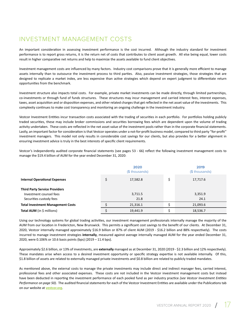## INVESTMENT MANAGEMENT COSTS

An important consideration in assessing investment performance is the cost incurred. Although the industry standard for investment performance is to report gross returns, it is the return net of costs that contributes to client asset growth. All else being equal, lower costs result in higher comparative net returns and help to maximize the assets available to fund client objectives.

Investment management costs are influenced by many factors. Industry cost comparisons prove that it is generally more efficient to manage assets internally than to outsource the investment process to third parties. Also, passive investment strategies, those strategies that are designed to replicate a market index, are less expensive than active strategies which depend on expert judgment to differentiate return opportunities from the benchmark.

Investment structure also impacts total costs. For example, private market investments can be made directly, through limited partnerships, co-investments or through fund of funds structures. These structures may incur management and carried interest fees, interest expenses, taxes, asset acquisition and or disposition expenses, and other related charges that get reflected in the net asset value of the investments. This complexity continues to make cost transparency and monitoring an ongoing challenge in the investment industry.

Vestcor Investment Entities incur transaction costs associated with the trading of securities in each portfolio. For portfolios holding publicly traded securities, these may include broker commissions and securities borrowing fees which are dependent upon the volume of trading activity undertaken. These costs are reflected in the net asset value of the investment pools rather than in the corporate financial statements. Lastly, an important factor for consideration is that Vestcor operates under a not-for-profit business model, compared to third party "for-profit" investment managers. This model not only results in considerable cost savings for our clients, but also provides for a better alignment in ensuring investment advice is truly in the best interests of specific client requirements.

Vestcor's independently audited corporate financial statements (see pages 53 - 66) reflect the following investment management costs to manage the \$19.4 billion of AUM for the year ended December 31, 2020:

|                                                                                            | 2020<br>(\$ thousands) |    | 2019<br>(\$ thousands) |
|--------------------------------------------------------------------------------------------|------------------------|----|------------------------|
| <b>Internal Operational Expenses</b>                                                       | 17,582.8               | \$ | 17,717.6               |
| <b>Third Party Service Providers</b><br>Investment counsel fees<br>Securities custody fees | 3,711.5<br>21.8        |    | 3,351.9<br>24.1        |
| <b>Total Investment Management Costs</b>                                                   | 21,316.1               | ¢  | 21,093.6               |
| Total AUM (in \$ millions)                                                                 | 19,441.9               | ċ  | 18,536.7               |

Using our technology systems for global trading activities, our investment management professionals internally manage the majority of the AUM from our location in Fredericton, New Brunswick. This permits a significant cost savings to the benefit of our clients. At December 31, 2020, Vestcor internally managed approximately \$16.9 billion or 87% of client AUM (2019 - \$16.2 billion and 88% respectively). The costs incurred to manage investment strategies **internally**, measured against average internally managed AUM for the year ended December 31, 2020, were 0.106% or 10.6 basis points (bps) (2019 – 11.4 bps).

Approximately \$2.6 billion, or 13% of investments, are **externally** managed as at December 31, 2020 (2019 - \$2.3 billion and 12% respectively). These mandates arise when access to a desired investment opportunity or specific strategy expertise is not available internally. Of this, \$1.8 billion of assets are related to externally managed private investments and \$0.8 billion are related to publicly traded mandates.

As mentioned above, the external costs to manage the private investments may include direct and indirect manager fees, carried interest, professional fees and other associated expenses. These costs are not included in the Vestcor investment management costs but instead have been deducted in reporting the investment performance of each pooled fund as per industry practice *(see Vestcor Investment Entities Performance on page 50)*. The audited financial statements for each of the Vestcor Investment Entities are available under the Publications tab on our website at **vestcor.org**.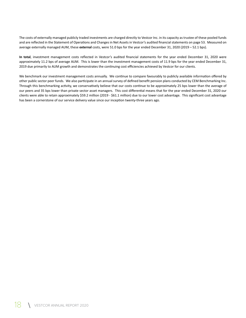The costs of externally managed publicly traded investments are charged directly to Vestcor Inc. in its capacity as trustee of these pooled funds and are reflected in the Statement of Operations and Changes in Net Assets in Vestcor's audited financial statements on page 53. Measured on average externally managed AUM, these **external** costs, were 51.0 bps for the year ended December 31, 2020 (2019 – 52.1 bps).

**In total**, investment management costs reflected in Vestcor's audited financial statements for the year ended December 31, 2020 were approximately 11.2 bps of average AUM. This is lower than the investment management costs of 11.9 bps for the year ended December 31, 2019 due primarily to AUM growth and demonstrates the continuing cost efficiencies achieved by Vestcor for our clients.

We benchmark our investment management costs annually. We continue to compare favourably to publicly available information offered by other public sector peer funds. We also participate in an annual survey of defined benefit pension plans conducted by CEM Benchmarking Inc. Through this benchmarking activity, we conservatively believe that our costs continue to be approximately 25 bps lower than the average of our peers and 35 bps lower than private sector asset managers. This cost differential means that for the year ended December 31, 2020 our clients were able to retain approximately \$59.2 million (2019 - \$61.1 million) due to our lower cost advantage. This significant cost advantage has been a cornerstone of our service delivery value since our inception twenty-three years ago.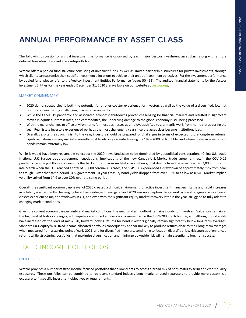# **ANNUAL PERFORMANCE BY ASSET CLASS**

The following discussion of annual investment performance is organized by each major Vestcor investment asset class, along with a more detailed breakdown by asset class sub-portfolio.

Vestcor offers a pooled fund structure consisting of unit trust funds, as well as limited partnership structures for private investments, through which clients can customize their specific investment allocations to achieve their unique investment objectives. For the investment performance by pooled fund, please refer to the Vestcor Investment Entities Performance (pages 50 - 52). The audited financial statements for the Vestcor Investment Entities for the year ended December 31, 2020 are available on our website at **vestcor.org**.

#### MARKET COMMENTARY

- 2020 demonstrated clearly both the potential for a roller-coaster experience for investors as well as the value of a diversified, low risk portfolio in weathering challenging market environments.
- While the COVID-19 pandemic and associated economic shutdowns proved challenging for financial markets and resulted in significant moves in equities, interest rates, and commodities, the underlying damage to the global economy is still being processed.
- With the major changes to office environments for most businesses as employees shifted to a primarily work-from-home status during the year, Real Estate investors experienced perhaps the most challenging year since the asset class became institutionalized.
- Overall, despite the strong finish to the year, investors should be prepared for challenges in terms of expected future long-term returns. Equity valuations in many markets currently sit at levels only exceeded during the 1999-2000 tech bubble, and interest rates in government bonds remain extremely low.

While it would have been reasonable to expect the 2020 news landscape to be dominated by geopolitical considerations (China-U.S. trade frictions, U.K.-Europe trade agreement negotiations, implications of the new Canada-U.S.-Mexico trade agreement, etc.), the COVID-19 pandemic rapidly put those concerns to the background. From mid-February, when global deaths from the virus reached 2,000 in total to late March when the U.S. reached a total of 50,000 coronavirus cases, the S&P 500 experienced a drawdown of approximately 35% from peak to trough. Over that same period, U.S. government 10-year treasury bond yields dropped from over 1.5% to as low as 0.5%. Market implied volatility spiked from 14% to over 80% over the same period.

Overall, the significant economic upheaval of 2020 created a difficult environment for active investment managers. Large and rapid increases in volatility are frequently challenging for active strategies to navigate, and 2020 was no exception. In general, active strategies across all asset classes experienced major drawdowns in Q1, and even with the significant equity market recovery later in the year, struggled to fully adapt to changing market conditions.

Given the current economic uncertainty and market conditions, the medium-term outlook remains cloudy for investors. Valuations remain at the high end of historical ranges, with equities are priced at levels not observed since the 1999-2000 tech bubble, and although bond yields have increased off the lows of mid-2020, forward looking returns for bond investors globally remain significantly below long-term averages. Standard 60% equity/40% fixed income allocated portfolios consequently appear unlikely to produce returns close to their long-term averages when measured from a starting point of early 2021, and for diversified investors, continuing to focus on diversified, low risk sources of enhanced returns while structuring portfolios that maximize diversification and minimize downside risk will remain essential to long run success.

## FIXED INCOME PORTFOLIOS

#### **OBJECTIVES**

Vestcor provides a number of fixed income focused portfolios that allow clients to access a broad mix of both maturity term and credit quality exposures. These portfolios can be combined to represent standard industry benchmarks or used separately to provide more customized exposure to fit specific investment objectives or requirements.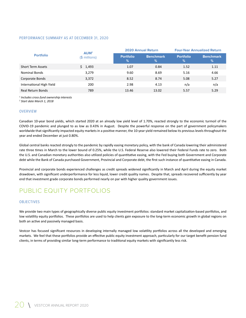#### PERFORMANCE SUMMARY AS AT DECEMBER 31, 2020

|                          | <b>AUM<sup>1</sup></b> |                       | <b>2020 Annual Return</b> | <b>Four-Year Annualized Return</b> |                                   |
|--------------------------|------------------------|-----------------------|---------------------------|------------------------------------|-----------------------------------|
| <b>Portfolio</b>         | $($$ millions)         | <b>Portfolio</b><br>% | <b>Benchmark</b><br>%     | <b>Portfolio</b><br>%              | <b>Benchmark</b><br>$\frac{9}{6}$ |
| <b>Short Term Assets</b> | \$1,493                | 1.07                  | 0.84                      | 1.52                               | 1.11                              |
| <b>Nominal Bonds</b>     | 3,279                  | 9.60                  | 8.69                      | 5.16                               | 4.66                              |
| Corporate Bonds          | 3,372                  | 8.52                  | 8.74                      | 5.08                               | 5.27                              |
| International High Yield | 200                    | 2.98                  | 4.13                      | n/a                                | n/a                               |
| Real Return Bonds        | 789                    | 13.46                 | 13.02                     | 5.57                               | 5.29                              |

*1 Includes cross-fund ownership interests*

*2 Start date March 1, 2018*

#### **OVERVIEW**

Canadian 10-year bond yields, which started 2020 at an already low yield level of 1.70%, reacted strongly to the economic turmoil of the COVID-19 pandemic and plunged to as low as 0.43% in August. Despite the powerful response on the part of government policymakers worldwide that significantly impacted equity markets in a positive manner, the 10-year yield remained below its previous levels throughout the year and ended December at just 0.80%.

Global central banks reacted strongly to the pandemic by rapidly easing monetary policy, with the bank of Canada lowering their administered rate three times in March to the lower bound of 0.25%, while the U.S. Federal Reserve also lowered their Federal Funds rate to zero. Both the U.S. and Canadian monetary authorities also utilized policies of quantitative easing, with the Fed buying both Government and Corporate debt while the Bank of Canada purchased Government, Provincial and Corporate debt, the first such instance of quantitative easing in Canada.

Provincial and corporate bonds experienced challenges as credit spreads widened significantly in March and April during the equity market drawdown, with significant underperformance for less liquid, lower credit quality names. Despite that, spreads recovered sufficiently by year end that investment grade corporate bonds performed nearly on par with higher quality government issues.

## PUBLIC EQUITY PORTFOLIOS

#### **OBJECTIVES**

We provide two main types of geographically diverse public equity investment portfolios: standard market capitalization-based portfolios, and low volatility equity portfolios. These portfolios are used to help clients gain exposure to the long-term economic growth in global regions on both an active and passively managed basis.

Vestcor has focused significant resources in developing internally managed low volatility portfolios across all the developed and emerging markets. We feel that these portfolios provide an effective public equity investment approach, particularly for our target benefit pension fund clients, in terms of providing similar long-term performance to traditional equity markets with significantly less risk.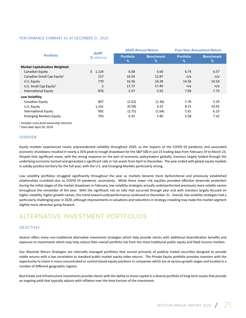#### PERFORMANCE SUMMARY AS AT DECEMBER 31, 2020

| <b>Portfolio</b>                       | AUM <sup>1</sup> |                       | <b>2020 Annual Return</b> | <b>Four-Year Annualized Return</b> |                                   |
|----------------------------------------|------------------|-----------------------|---------------------------|------------------------------------|-----------------------------------|
|                                        | $$$ millions)    | <b>Portfolio</b><br>% | <b>Benchmark</b><br>%     | <b>Portfolio</b><br>%              | <b>Benchmark</b><br>$\frac{9}{6}$ |
| <b>Market Capitalization Weighted:</b> |                  |                       |                           |                                    |                                   |
| Canadian Equity                        | \$1,124          | 6.08                  | 5.60                      | 6.74                               | 6.57                              |
| Canadian Small Cap Equity <sup>2</sup> | 157              | 16.54                 | 12.87                     | n/a                                | n/a                               |
| U.S. Equity                            | 770              | 16.36                 | 16.28                     | 14.56                              | 14.50                             |
| U.S. Small Cap Equity <sup>2</sup>     | 5                | 17.77                 | 17.40                     | n/a                                | n/a                               |
| <b>International Equity</b>            | 876              | 5.37                  | 5.92                      | 7.94                               | 7.73                              |
| Low Volatility:                        |                  |                       |                           |                                    |                                   |
| Canadian Equity                        | 897              | (2.02)                | (1.36)                    | 5.70                               | 5.29                              |
| U.S. Equity                            | 1,191            | (0.58)                | 3.25                      | 8.15                               | 10.92                             |
| International Equity                   | 992              | (2.75)                | (1.64)                    | 5.61                               | 6.23                              |
| <b>Emerging Markets Equity</b>         | 793              | 0.35                  | 5.90                      | 5.58                               | 7.32                              |

*1 Includes cross-fund ownership interests*

*² Start date April 30, 2018*

#### **OVERVIEW**

Equity markets experienced nearly unprecedented volatility throughout 2020, as the impacts of the COVID-19 pandemic and associated economic shutdowns resulted in nearly a 35% peak to trough drawdown for the S&P 500 in just 23 trading days from February 19 to March 23. Despite that significant move, with the strong response on the part of economic policymakers globally, investors largely looked through the underlying economic turmoil and generated a significant rally in risk assets from April to December. The year ended with global equity markets in solidly positive territory for the full year, with the U.S. and Emerging Markets particularly strong.

Low volatility portfolios struggled significantly throughout the year as markets became more dysfunctional and previously established relationships crumbled due to COVID-19 pandemic uncertainty. While these lower risk equities provided effective downside protection during the initial stages of the market drawdown in February, low volatility strategies actually underperformed previously more volatile names throughout the remainder of the year. With the significant risk on rally that occurred through year end with investors largely focused on higher volatility, higher growth names, this trend toward underperformance continued to December 31. Overall, low volatility strategies had a particularly challenging year in 2020, although improvements in valuations and reductions in strategy crowding may make this market segment slightly more attractive going forward.

## ALTERNATIVE INVESTMENT PORTFOLIOS

#### **OBJECTIVES**

Vestcor offers many non-traditional alternative investment strategies which help provide clients with additional diversification benefits and exposure to investments which may help reduce their overall portfolio risk from the more traditional public equity and fixed income markets.

Our Absolute Return Strategies are internally managed portfolios that consist primarily of publicly traded securities designed to provide stable returns with a low correlation to standard public market equity index returns. The Private Equity portfolio provides investors with the opportunity to invest in more concentrated or control-based equity positions in companies which are at various growth stages and located in a number of different geographic regions.

Real Estate and Infrastructure investments provide clients with the ability to invest capital in a diverse portfolio of long-term assets that provide an ongoing yield that typically adjusts with inflation over the time horizon of the investment.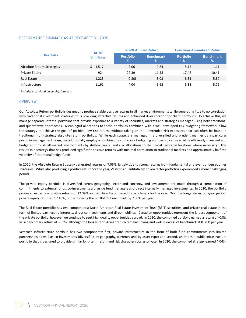#### PERFORMANCE SUMMARY AS AT DECEMBER 31, 2020

|                            | <b>AUM<sup>1</sup></b> | <b>2020 Annual Return</b> |                          | <b>Four-Year Annualized Return</b> |                       |
|----------------------------|------------------------|---------------------------|--------------------------|------------------------------------|-----------------------|
| <b>Portfolio</b>           | $$$ millions)          | <b>Portfolio</b><br>%     | <b>Benchmark</b><br>$\%$ | <b>Portfolio</b><br>%              | <b>Benchmark</b><br>% |
| Absolute Return Strategies | \$1,517                | 7.06                      | 0.84                     | 5.12                               | 1.11                  |
| Private Equity             | 924                    | 22.39                     | 11.58                    | 17.46                              | 10.41                 |
| <b>Real Estate</b>         | 1,223                  | (0.80)                    | 3.03                     | 8.31                               | 5.87                  |
| Infrastructure             | 1,161                  | 4.04                      | 5.62                     | 8.38                               | 5.76                  |

*1 Includes cross-fund ownership interests*

#### OVERVIEW

Our Absolute Return portfolio is designed to produce stable positive returns in all market environments while generating little to no correlation with traditional investment strategies thus providing attractive returns and enhanced diversification for client portfolios. To achieve this, we manage separate internal portfolios that provide exposure to a variety of securities, markets and strategies managed using both traditional and quantitative approaches. Meaningful allocations to these portfolios combined with a well-developed risk budgeting framework allow the strategy to achieve the goal of positive, low risk returns without taking on the unintended risk exposures that can often be found in traditional multi-strategy absolute return portfolios. While each strategy is managed in a diversified and prudent manner by a particular portfolio management team, we additionally employ a combined portfolio risk budgeting approach to ensure risk is efficiently managed and budgeted through all market environments by shifting capital and risk allocations to their most favorable locations where necessary. This results in a strategy that has produced significant positive returns with minimal correlation to traditional markets and approximately half the volatility of traditional hedge funds.

In 2020, the Absolute Return Strategy generated returns of 7.06%, largely due to strong returns from fundamental and event driven equities strategies. While also producing a positive return for the year, Vestcor's quantitatively driven factor portfolios experienced a more challenging period.

The private equity portfolio is diversified across geography, sector and currency, and investments are made through a combination of commitments to external funds, co-investments alongside fund managers and direct internally managed investments. In 2020, the portfolio produced extremely positive returns of 22.39% and significantly outpaced its benchmark for the year. Over the longer-term four-year period, private equity returned 17.46%, outperforming the portfolio's benchmark by 7.05% per year.

The Real Estate portfolio has two components: North American Real Estate Investment Trust (REIT) securities, and private real estate in the form of limited partnership interests, direct co-investments and direct holdings. Canadian opportunities represent the largest component of the private portfolio, however we continue to seek high quality opportunities abroad. In 2020, the combined portfolio earned a return of -0.8% vs. a benchmark return of 3.03%, although the longer-term 4-year return remains strong and well in excess of benchmark at 8.31% per year.

Vestcor's Infrastructure portfolio has two components: first, private infrastructure in the form of both fund commitments into limited partnerships as well as co-investments (diversified by geography, currency and by asset type) and second, an internal public infrastructure portfolio that is designed to provide similar long-term return and risk characteristics as private. In 2020, the combined strategy earned 4.04%.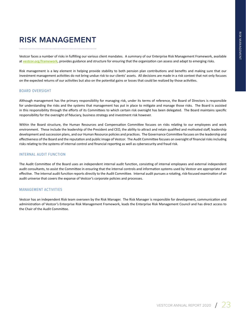# **RISK MANAGEMENT**

Vestcor faces a number of risks in fulfilling our various client mandates. A summary of our Enterprise Risk Management Framework, available at **vestcor.org/framework**, provides guidance and structure for ensuring that the organization can assess and adapt to emerging risks.

Risk management is a key element in helping provide stability to both pension plan contributions and benefits and making sure that our investment management activities do not bring undue risk to our clients' assets. All decisions are made in a risk context that not only focuses on the expected returns of our activities but also on the potential gains or losses that could be realized by those activities.

#### BOARD OVERSIGHT

Although management has the primary responsibility for managing risk, under its terms of reference, the Board of Directors is responsible for understanding the risks and the systems that management has put in place to mitigate and manage those risks. The Board is assisted in this responsibility through the efforts of its Committees to which certain risk oversight has been delegated. The Board maintains specific responsibility for the oversight of fiduciary, business strategy and investment risk however.

Within the Board structure, the Human Resources and Compensation Committee focuses on risks relating to our employees and work environment. These include the leadership of the President and CEO, the ability to attract and retain qualified and motivated staff, leadership development and succession plans, and our Human Resource policies and practices. The Governance Committee focuses on the leadership and effectiveness of the Board and the reputation and public image of Vestcor. The Audit Committee focuses on oversight of financial risks including risks relating to the systems of internal control and financial reporting as well as cybersecurity and fraud risk.

#### INTERNAL AUDIT FUNCTION

The Audit Committee of the Board uses an independent internal audit function, consisting of internal employees and external independent audit consultants, to assist the Committee in ensuring that the internal controls and information systems used by Vestcor are appropriate and effective. The internal audit function reports directly to the Audit Committee. Internal audit pursues a rotating, risk-focused examination of an audit universe that covers the expanse of Vestcor's corporate policies and processes.

#### MANAGEMENT ACTIVITIES

Vestcor has an independent Risk team overseen by the Risk Manager. The Risk Manager is responsible for development, communication and administration of Vestcor's Enterprise Risk Management Framework, leads the Enterprise Risk Management Council and has direct access to the Chair of the Audit Committee.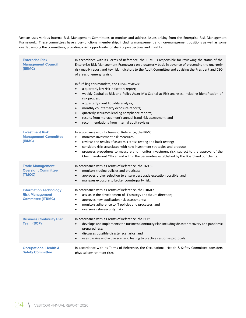Vestcor uses various internal Risk Management Committees to monitor and address issues arising from the Enterprise Risk Management Framework. These committees have cross-functional membership, including management and non-management positions as well as some overlap among the committees, providing a rich opportunity for sharing perspectives and insights:

| <b>Enterprise Risk</b><br><b>Management Council</b><br>(ERMC)                       | In accordance with its Terms of Reference, the ERMC is responsible for reviewing the status of the<br>Enterprise Risk Management Framework on a quarterly basis in advance of presenting the quarterly<br>risk matrix report and key risk indicators to the Audit Committee and advising the President and CEO<br>of areas of emerging risk.                                                                                                                                                                                                        |
|-------------------------------------------------------------------------------------|-----------------------------------------------------------------------------------------------------------------------------------------------------------------------------------------------------------------------------------------------------------------------------------------------------------------------------------------------------------------------------------------------------------------------------------------------------------------------------------------------------------------------------------------------------|
|                                                                                     | In fulfilling this mandate, the ERMC reviews:<br>a quarterly key risk indicators report;<br>$\bullet$<br>weekly Capital at Risk and Policy Asset Mix Capital at Risk analyses, including identification of<br>$\bullet$<br>risk proxies;<br>a quarterly client liquidity analysis;<br>$\bullet$<br>monthly counterparty exposure reports;<br>$\bullet$<br>quarterly securities lending compliance reports;<br>$\bullet$<br>results from management's annual fraud risk assessment; and<br>$\bullet$<br>recommendations from internal audit reviews. |
| <b>Investment Risk</b><br><b>Management Committee</b><br>(IRMC)                     | In accordance with its Terms of Reference, the IRMC:<br>monitors investment risk measures;<br>$\bullet$<br>reviews the results of asset mix stress testing and back-testing;<br>$\bullet$<br>considers risks associated with new investment strategies and products;<br>$\bullet$<br>proposes procedures to measure and monitor investment risk, subject to the approval of the<br>$\bullet$<br>Chief Investment Officer and within the parameters established by the Board and our clients.                                                        |
| <b>Trade Management</b><br><b>Oversight Committee</b><br>(TMOC)                     | In accordance with its Terms of Reference, the TMOC:<br>monitors trading policies and practices;<br>$\bullet$<br>approves broker selection to ensure best trade execution possible; and<br>$\bullet$<br>manages exposure to broker counterparty risk.<br>$\bullet$                                                                                                                                                                                                                                                                                  |
| <b>Information Technology</b><br><b>Risk Management</b><br><b>Committee (ITRMC)</b> | In accordance with its Terms of Reference, the ITRMC:<br>assists in the development of IT strategy and future direction;<br>$\bullet$<br>approves new application risk assessments;<br>$\bullet$<br>monitors adherence to IT policies and processes; and<br>$\bullet$<br>oversees cybersecurity risks.<br>$\bullet$                                                                                                                                                                                                                                 |
| <b>Business Continuity Plan</b><br><b>Team (BCP)</b>                                | In accordance with its Terms of Reference, the BCP:<br>develops and implements the Business Continuity Plan including disaster recovery and pandemic<br>$\bullet$<br>preparedness;<br>discusses possible disaster scenarios; and<br>$\bullet$<br>uses passive and active scenario testing to practice response protocols.<br>$\bullet$                                                                                                                                                                                                              |
| <b>Occupational Health &amp;</b><br><b>Safety Committee</b>                         | In accordance with its Terms of Reference, the Occupational Health & Safety Committee considers<br>physical environment risks.                                                                                                                                                                                                                                                                                                                                                                                                                      |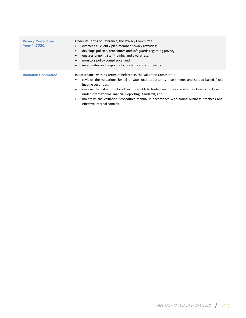| <b>Privacy Committee</b><br>(new in 2020) | Under its Terms of Reference, the Privacy Committee:<br>oversees all client / plan member privacy activities;<br>$\bullet$<br>develops policies, procedures and safeguards regarding privacy;<br>$\bullet$<br>ensures ongoing staff training and awareness;<br>$\bullet$<br>monitors policy compliance; and<br>$\bullet$<br>investigates and responds to incidents and complaints.<br>$\bullet$                                                               |
|-------------------------------------------|---------------------------------------------------------------------------------------------------------------------------------------------------------------------------------------------------------------------------------------------------------------------------------------------------------------------------------------------------------------------------------------------------------------------------------------------------------------|
| <b>Valuation Committee</b>                | In accordance with its Terms of Reference, the Valuation Committee:<br>reviews the valuations for all private local opportunity investments and spread-based fixed<br>٠<br>income securities;<br>reviews the valuations for other non-publicly traded securities classified as Level 2 or Level 3<br>٠<br>under International Financial Reporting Standards; and<br>maintains the valuation procedures manual in accordance with sound business practices and |

effective internal controls.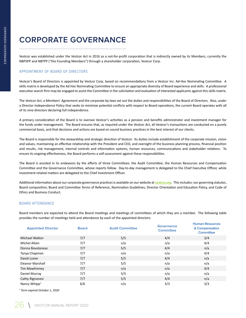# **CORPORATE GOVERNANCE**

Vestcor was established under the *Vestcor Act* in 2016 as a not-for-profit corporation that is indirectly owned by its Members, currently the NBPSPP and NBTPP ("the Founding Members") through a shareholder corporation, Vestcor Corp.

#### APPOINTMENT OF BOARD OF DIRECTORS

Vestcor's Board of Directors is appointed by Vestcor Corp. based on recommendations from a Vestcor Inc. Ad-Hoc Nominating Committee. A skills matrix is developed by the Ad Hoc Nominating Committee to ensure an appropriate diversity of Board experience and skills. A professional executive search firm may be engaged to assist the Committee in the solicitation and evaluation of interested applicants against this skills matrix.

The *Vestcor Act*, a Members' Agreement and the corporate by-laws set out the duties and responsibilities of the Board of Directors. Also, under a Director Independence Policy that seeks to minimize potential conflicts with respect to Board operations, the current Board operates with all of its nine directors declaring full independence.

A primary consideration of the Board is to oversee Vestcor's activities as a pension and benefits administrator and investment manager for the funds under management. The Board ensures that, as required under the *Vestcor Act*, all Vestcor's transactions are conducted on a purely commercial basis, and that decisions and actions are based on sound business practices in the best interest of our clients.

The Board is responsible for the stewardship and strategic direction of Vestcor. Its duties include establishment of the corporate mission, vision and values, maintaining an effective relationship with the President and CEO, and oversight of the business planning process, financial position and results, risk management, internal controls and information systems, human resources, communications and stakeholder relations. To ensure its ongoing effectiveness, the Board performs a self-assessment against these responsibilities.

The Board is assisted in its endeavors by the efforts of three Committees: the Audit Committee, the Human Resources and Compensation Committee and the Governance Committee, whose reports follow. Day-to-day management is delegated to the Chief Executive Officer, while investment-related matters are delegated to the Chief Investment Officer.

Additional information about our corporate governance practices is available on our website at **vestcor.org**. This includes: our governing statutes, Board composition, Board and Committee Terms of Reference, Nomination Guidelines, Director Orientation and Education Policy, and Code of Ethics and Business Conduct.

#### BOARD ATTENDANCE

Board members are expected to attend the Board meetings and meetings of committees of which they are a member. The following table provides the number of meetings held and attendance by each of the appointed directors.

| <b>Appointed Director</b> | <b>Board</b> | <b>Audit Committee</b> | <b>Governance</b><br><b>Committee</b> | <b>Human Resources</b><br>& Compensation<br><b>Committee</b> |
|---------------------------|--------------|------------------------|---------------------------------------|--------------------------------------------------------------|
| <b>Michael Walton</b>     | 7/7          | 5/5                    | 4/4                                   | 3/4                                                          |
| Michel Allain             | 7/7          | n/a                    | n/a                                   | 4/4                                                          |
| Donna Bovolaneas          | 7/7          | 5/5                    | 4/4                                   | n/a                                                          |
| Tanya Chapman             | 7/7          | n/a                    | n/a                                   | 4/4                                                          |
| David Losier              | 7/7          | 5/5                    | 4/4                                   | n/a                                                          |
| Eleanor Marshall          | 7/7          | 5/5                    | n/a                                   | n/a                                                          |
| Tim Mawhinney             | 7/7          | n/a                    | n/a                                   | 4/4                                                          |
| Daniel Murray             | 7/7          | 5/5                    | n/a                                   | n/a                                                          |
| Cathy Rignanesi           | 7/7          | 5/5                    | 4/4                                   | n/a                                                          |
| Nancy Whipp <sup>1</sup>  | 6/6          | n/a                    | 3/3                                   | 3/3                                                          |

*1 Term expired October 1, 2020*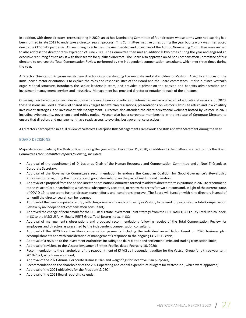In addition, with three directors' terms expiring in 2020, an ad hoc Nominating Committee of four directors whose terms were not expiring had been formed in late 2019 to undertake a director search process. This Committee met five times during the year but its work was interrupted due to the COVID-19 pandemic. On resuming its activities, the membership and objectives of the Ad Hoc Nominating Committee were revised to also address the director term expiration of June 2021. The Committee then met an additional two times during the year and engaged an executive recruiting firm to assist with their search for qualified directors. The Board also approved an ad hoc Compensation Committee of four directors to oversee the Total Compensation Review performed by the independent compensation consultant, which met three times during the year.

A Director Orientation Program assists new directors in understanding the mandate and stakeholders of Vestcor. A significant focus of the initial new director orientation is to explain the roles and responsibilities of the Board and the Board committees. It also outlines Vestcor's organizational structure, introduces the senior leadership team, and provides a primer on the pension and benefits administration and investment management services and industries. Management has provided director orientation to each of the directors.

On-going director education includes exposure to relevant news and articles of interest as well as a program of educational sessions. In 2020, these sessions included a review of shared risk / target benefit plan regulations, presentations on Vestcor's absolute return and low volatility investment strategies, and investment risk management. Directors also attended the client educational webinars hosted by Vestcor in 2020 including cybersecurity, governance and ethics topics. Vestcor also has a corporate membership in the Institute of Corporate Directors to ensure that directors and management have ready access to evolving best governance practices.

All directors participated in a full review of Vestcor's Enterprise Risk Management Framework and Risk Appetite Statement during the year.

#### BOARD DECISIONS

Major decisions made by the Vestcor Board during the year ended December 31, 2020, in addition to the matters referred to it by the Board Committees *(see Committee reports following)* included:

- Approval of the appointment of D. Losier as Chair of the Human Resources and Compensation Committee and J. Noel-Thériault as Corporate Secretary;
- Approval of the Governance Committee's recommendation to endorse the Canadian Coalition for Good Governance's Stewardship Principles for recognizing the importance of good stewardship on the part of institutional investors;
- Approval of a proposal from the ad hoc Director Nomination Committee formed to address director term expirations in 2020 to recommend to the Vestcor Corp. shareholder, which was subsequently accepted, to renew the terms for two directors and, in light of the current status of COVID-19, to postpone further director search efforts until conditions improve. The Board will function with nine directors instead of ten until the director search can be resumed;
- Approval of the peer comparator group, reflecting a similar size and complexity as Vestcor, to be used for purposes of a Total Compensation Review by an independent compensation consultant;
- Approved the change of benchmark for the U.S. Real Estate Investment Trust strategy from the FTSE NAREIT All Equity Total Return Index, in \$C to the MSCI USA IMI Equity REITS Gross Total Return Index, in \$C;
- Approval of management's observations and proposed recommendations following receipt of the Total Compensation Review for employees and directors as presented by the independent compensation consultant;
- Approval of the 2020 Incentive Plan compensation payments including the individual award factor based on 2020 business plan accomplishments and with consideration of management's response to the ongoing COVID-19 crisis;
- Approval of a revision to the Investment Authorities including the daily blotter and settlement limits and trading transaction limits;
- Approval of revisions to the Vestcor Investment Entities Profiles dated February 10, 2020;
- Recommendation to the shareholder of the reappointment of KPMG as independent auditor for the Vestcor Group for a three-year term 2019-2021, which was approved;
- Approval of the 2021 Annual Corporate Business Plan and weightings for Incentive Plan purposes;
- Recommendation to the shareholder of the 2021 operating and capital expenditure budgets for Vestcor Inc., which were approved;
- Approval of the 2021 objectives for the President & CEO;
- Approval of the 2021 Board reporting calendar.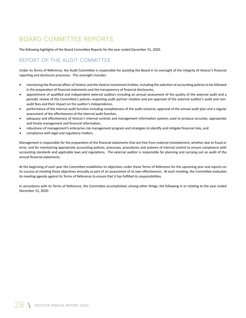## BOARD COMMITTEE REPORTS

The following highlights of the Board Committee Reports for the year ended December 31, 2020.

## REPORT OF THE AUDIT COMMITTEE

Under its Terms of Reference, the Audit Committee is responsible for assisting the Board in its oversight of the integrity of Vestcor's financial reporting and disclosure processes. This oversight includes:

- monitoring the financial affairs of Vestcor and the Vestcor Investment Entities, including the selection of accounting policies to be followed in the preparation of financial statements and the transparency of financial disclosures,
- appointment of qualified and independent external auditors including an annual assessment of the quality of the external audit and a periodic review of the Committee's policies respecting audit partner rotation and pre-approval of the external auditor's audit and nonaudit fees and their impact on the auditor's independence,
- performance of the internal audit function including completeness of the audit universe, approval of the annual audit plan and a regular assessment of the effectiveness of the internal audit function,
- adequacy and effectiveness of Vestcor's internal controls and management information systems used to produce accurate, appropriate and timely management and financial information,
- robustness of management's enterprise risk management program and strategies to identify and mitigate financial risks, and
- compliance with legal and regulatory matters.

Management is responsible for the preparation of the financial statements that are free from material misstatement, whether due to fraud or error, and for maintaining appropriate accounting policies, processes, procedures and systems of internal control to ensure compliance with accounting standards and applicable laws and regulations. The external auditor is responsible for planning and carrying out an audit of the annual financial statements.

At the beginning of each year the Committee establishes its objectives under these Terms of Reference for the upcoming year and reports on its success at meeting those objectives annually as part of an assessment of its own effectiveness. At each meeting, the Committee evaluates its meeting agenda against its Terms of Reference to ensure that it has fulfilled its responsibilities.

In accordance with its Terms of Reference, the Committee accomplished, among other things, the following in or relating to the year ended December 31, 2020: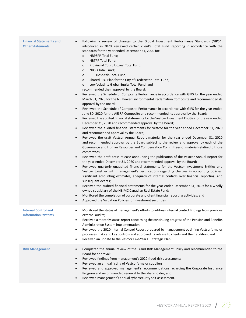| <b>Financial Statements and</b><br><b>Other Statements</b> | Following a review of changes to the Global Investment Performance Standards (GIPS <sup>®</sup> )<br>$\bullet$<br>introduced in 2020, reviewed certain client's Total Fund Reporting in accordance with the<br>standards for the year ended December 31, 2020 for:<br><b>NBPSPP Total Fund;</b><br>o<br>NBTPP Total Fund;<br>o<br>Provincial Court Judges' Total Fund;<br>o<br>NBSD Total Fund;<br>o<br><b>CBE Hospitals Total Fund;</b><br>o<br>Shared Risk Plan for the City of Fredericton Total Fund;<br>o<br>Low Volatility Global Equity Total Fund; and<br>0<br>recommended their approval by the Board;<br>Reviewed the Schedule of Composite Performance in accordance with GIPS for the year ended<br>$\bullet$<br>March 31, 2020 for the NB Power Environmental Reclamation Composite and recommended its<br>approval by the Board;<br>Reviewed the Schedule of Composite Performance in accordance with GIPS for the year ended<br>$\bullet$<br>June 30, 2020 for the AESRP Composite and recommended its approval by the Board;<br>Reviewed the audited financial statements for the Vestcor Investment Entities for the year ended<br>$\bullet$<br>December 31, 2020 and recommended approval by the Board;<br>Reviewed the audited financial statements for Vestcor for the year ended December 31, 2020<br>$\bullet$<br>and recommended approval by the Board;<br>Reviewed the draft Vestcor Annual Report material for the year ended December 31, 2020<br>$\bullet$<br>and recommended approval by the Board subject to the review and approval by each of the<br>Governance and Human Resources and Compensation Committees of material relating to those<br>committees;<br>Reviewed the draft press release announcing the publication of the Vestcor Annual Report for<br>$\bullet$<br>the year ended December 31, 2020 and recommended approval by the Board;<br>Reviewed quarterly unaudited financial statements for the Vestcor Investment Entities and<br>$\bullet$<br>Vestcor together with management's certifications regarding changes in accounting policies,<br>significant accounting estimates, adequacy of internal controls over financial reporting, and<br>subsequent events;<br>Received the audited financial statements for the year ended December 31, 2019 for a wholly<br>$\bullet$<br>owned subsidiary of the NBIMC Canadian Real Estate Fund;<br>Monitored the completion of corporate and client financial reporting activities; and<br>$\bullet$<br>Approved the Valuation Policies for investment securities.<br>٠ |
|------------------------------------------------------------|---------------------------------------------------------------------------------------------------------------------------------------------------------------------------------------------------------------------------------------------------------------------------------------------------------------------------------------------------------------------------------------------------------------------------------------------------------------------------------------------------------------------------------------------------------------------------------------------------------------------------------------------------------------------------------------------------------------------------------------------------------------------------------------------------------------------------------------------------------------------------------------------------------------------------------------------------------------------------------------------------------------------------------------------------------------------------------------------------------------------------------------------------------------------------------------------------------------------------------------------------------------------------------------------------------------------------------------------------------------------------------------------------------------------------------------------------------------------------------------------------------------------------------------------------------------------------------------------------------------------------------------------------------------------------------------------------------------------------------------------------------------------------------------------------------------------------------------------------------------------------------------------------------------------------------------------------------------------------------------------------------------------------------------------------------------------------------------------------------------------------------------------------------------------------------------------------------------------------------------------------------------------------------------------------------------------------------------------------------------------------------------------------------------------------------------------------------------------------------------------------------------------------------------------------------------------|
| <b>Internal Control and</b><br><b>Information Systems</b>  | Monitored the status of management's efforts to address internal control findings from previous<br>$\bullet$<br>external audits;<br>Received a monthly status report concerning the continuing progress of the Pension and Benefits<br>٠<br>Administration System implementation;<br>Reviewed the 2020 Internal Control Report prepared by management outlining Vestcor's major<br>$\bullet$<br>processes, risks and key controls and approved its release to clients and their auditors; and<br>Received an update to the Vestcor Five-Year IT Strategic Plan.<br>$\bullet$                                                                                                                                                                                                                                                                                                                                                                                                                                                                                                                                                                                                                                                                                                                                                                                                                                                                                                                                                                                                                                                                                                                                                                                                                                                                                                                                                                                                                                                                                                                                                                                                                                                                                                                                                                                                                                                                                                                                                                                        |
| <b>Risk Management</b>                                     | Completed the annual review of the Fraud Risk Management Policy and recommended to the<br>$\bullet$<br>Board for approval;<br>Reviewed findings from management's 2020 fraud risk assessment;<br>٠<br>Reviewed an annual listing of Vestcor's major suppliers;<br>Reviewed and approved management's recommendations regarding the Corporate Insurance<br>$\bullet$<br>Program and recommended renewal to the shareholder; and<br>Reviewed management's annual cybersecurity self-assessment.                                                                                                                                                                                                                                                                                                                                                                                                                                                                                                                                                                                                                                                                                                                                                                                                                                                                                                                                                                                                                                                                                                                                                                                                                                                                                                                                                                                                                                                                                                                                                                                                                                                                                                                                                                                                                                                                                                                                                                                                                                                                       |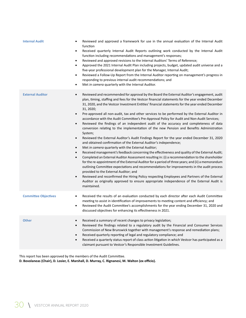| <b>Internal Audit</b>       | Reviewed and approved a framework for use in the annual evaluation of the Internal Audit<br>function<br>Received quarterly Internal Audit Reports outlining work conducted by the Internal Audit<br>$\bullet$<br>function including recommendations and management's responses;<br>Reviewed and approved revisions to the Internal Auditors' Terms of Reference;<br>$\bullet$<br>Approved the 2021 Internal Audit Plan including projects, budget, updated audit universe and a<br>$\bullet$<br>five-year professional development plan for the Manager, Internal Audit;<br>Reviewed a Follow-Up Report from the Internal Auditor reporting on management's progress in<br>$\bullet$<br>responding to previous internal audit recommendations; and<br>Met in camera quarterly with the Internal Auditor.<br>$\bullet$                                                                                                                                                                                                                                                                                                                                                                                                                                                                                                                                                                                                                                                                                                                                                                                                                                                                                          |
|-----------------------------|----------------------------------------------------------------------------------------------------------------------------------------------------------------------------------------------------------------------------------------------------------------------------------------------------------------------------------------------------------------------------------------------------------------------------------------------------------------------------------------------------------------------------------------------------------------------------------------------------------------------------------------------------------------------------------------------------------------------------------------------------------------------------------------------------------------------------------------------------------------------------------------------------------------------------------------------------------------------------------------------------------------------------------------------------------------------------------------------------------------------------------------------------------------------------------------------------------------------------------------------------------------------------------------------------------------------------------------------------------------------------------------------------------------------------------------------------------------------------------------------------------------------------------------------------------------------------------------------------------------------------------------------------------------------------------------------------------------|
| <b>External Auditor</b>     | Reviewed and recommended for approval by the Board the External Auditor's engagement, audit<br>$\bullet$<br>plan, timing, staffing and fees for the Vestcor financial statements for the year ended December<br>31, 2020, and the Vestcor Investment Entities' financial statements for the year ended December<br>31, 2020;<br>Pre-approved all non-audit, tax and other services to be performed by the External Auditor in<br>$\bullet$<br>accordance with the Audit Committee's Pre-Approval Policy for Audit and Non-Audit Services;<br>Reviewed the findings of an independent audit of the accuracy and completeness of data<br>$\bullet$<br>conversion relating to the implementation of the new Pension and Benefits Administration<br>System;<br>Reviewed the External Auditor's Audit Findings Report for the year ended December 31, 2020<br>$\bullet$<br>and obtained confirmation of the External Auditor's independence;<br>Met in camera quarterly with the External Auditor;<br>$\bullet$<br>Received management's feedback concerning the effectiveness and quality of the External Audit;<br>$\bullet$<br>Completed an External Auditor Assessment resulting in: (i) a recommendation to the shareholder<br>$\bullet$<br>for the re-appointment of the External Auditor for a period of three years; and (ii) a memorandum<br>outlining Committee expectations and recommendations for improvements in the audit process<br>provided to the External Auditor; and<br>Reviewed and reconfirmed the Hiring Policy respecting Employees and Partners of the External<br>$\bullet$<br>Auditor as originally approved to ensure appropriate independence of the External Audit is<br>maintained. |
| <b>Committee Objectives</b> | Received the results of an evaluation conducted by each director after each Audit Committee<br>$\bullet$<br>meeting to assist in identification of improvements to meeting content and efficiency; and<br>Reviewed the Audit Committee's accomplishments for the year ending December 31, 2020 and<br>$\bullet$<br>discussed objectives for enhancing its effectiveness in 2021.                                                                                                                                                                                                                                                                                                                                                                                                                                                                                                                                                                                                                                                                                                                                                                                                                                                                                                                                                                                                                                                                                                                                                                                                                                                                                                                               |
| <b>Other</b>                | Received a summary of recent changes to privacy legislation;<br>$\bullet$<br>Reviewed the findings related to a regulatory audit by the Financial and Consumer Services<br>$\bullet$<br>Commission of New Brunswick together with management's response and remediation plans;<br>Received quarterly reporting of legal and regulatory compliance; and<br>$\bullet$<br>Received a quarterly status report of class action litigation in which Vestcor has participated as a<br>$\bullet$<br>claimant pursuant to Vestcor's Responsible Investment Guidelines.                                                                                                                                                                                                                                                                                                                                                                                                                                                                                                                                                                                                                                                                                                                                                                                                                                                                                                                                                                                                                                                                                                                                                  |

This report has been approved by the members of the Audit Committee.

**D. Bovolaneas (Chair), D. Losier, E. Marshall, D. Murray, C. Rignanesi, M. Walton (ex officio).**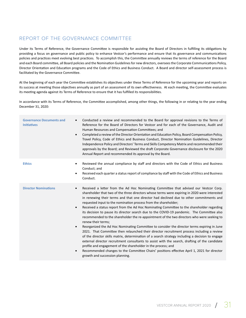## REPORT OF THE GOVERNANCE COMMITTEE

Under its Terms of Reference, the Governance Committee is responsible for assisting the Board of Directors in fulfilling its obligations by providing a focus on governance and public policy to enhance Vestcor's performance and ensure that its governance and communications policies and practices meet evolving best practices. To accomplish this, the Committee annually reviews the terms of reference for the Board and each Board committee, all Board policies and the Nomination Guidelines for new directors, oversees the Corporate Communications Policy, Director Orientation and Education programs and the Code of Ethics and Business Conduct. A Board and director self-assessment process is facilitated by the Governance Committee.

At the beginning of each year the Committee establishes its objectives under these Terms of Reference for the upcoming year and reports on its success at meeting those objectives annually as part of an assessment of its own effectiveness. At each meeting, the Committee evaluates its meeting agenda against its Terms of Reference to ensure that it has fulfilled its responsibilities.

In accordance with its Terms of Reference, the Committee accomplished, among other things, the following in or relating to the year ending December 31, 2020:

| <b>Governance Documents and</b><br><b>Initiatives</b> | Conducted a review and recommended to the Board for approval revisions to the Terms of<br>$\bullet$<br>Reference for the Board of Directors for Vestcor and for each of the Governance, Audit and<br>Human Resources and Compensation Committees; and<br>Completed a review of the Director Orientation and Education Policy, Board Compensation Policy,<br>$\bullet$<br>Travel Policy, Code of Ethics and Business Conduct, Director Nomination Guidelines, Director<br>Independence Policy and Directors' Terms and Skills Competency Matrix and recommended their<br>approvals by the Board; and Reviewed the draft Corporate Governance disclosure for the 2020<br>Annual Report and recommended its approval by the Board.                                                                                                                                                                                                                                                                                                                                                                                                                                                                                                                                                                                                |
|-------------------------------------------------------|--------------------------------------------------------------------------------------------------------------------------------------------------------------------------------------------------------------------------------------------------------------------------------------------------------------------------------------------------------------------------------------------------------------------------------------------------------------------------------------------------------------------------------------------------------------------------------------------------------------------------------------------------------------------------------------------------------------------------------------------------------------------------------------------------------------------------------------------------------------------------------------------------------------------------------------------------------------------------------------------------------------------------------------------------------------------------------------------------------------------------------------------------------------------------------------------------------------------------------------------------------------------------------------------------------------------------------|
| <b>Ethics</b>                                         | Reviewed the annual compliance by staff and directors with the Code of Ethics and Business<br>$\bullet$<br>Conduct; and<br>Received each quarter a status report of compliance by staff with the Code of Ethics and Business<br>$\bullet$<br>Conduct.                                                                                                                                                                                                                                                                                                                                                                                                                                                                                                                                                                                                                                                                                                                                                                                                                                                                                                                                                                                                                                                                          |
| <b>Director Nominations</b>                           | Received a letter from the Ad Hoc Nominating Committee that advised our Vestcor Corp.<br>$\bullet$<br>shareholder that two of the three directors whose terms were expiring in 2020 were interested<br>in renewing their terms and that one director had declined due to other commitments and<br>requested input to the nomination process from the shareholder;<br>Received a status report from the Ad Hoc Nominating Committee to the shareholder regarding<br>$\bullet$<br>its decision to pause its director search due to the COVID-19 pandemic. The Committee also<br>recommended to the shareholder the re-appointment of the two directors who were seeking to<br>renew their terms;<br>Reorganized the Ad Hoc Nominating Committee to consider the director terms expiring in June<br>$\bullet$<br>2021. That Committee then relaunched their director recruitment process including a review<br>of the director skills matrix, determination of a search strategy including a decision to engage<br>external director recruitment consultants to assist with the search, drafting of the candidate<br>profile and engagement of the shareholder in the process; and<br>Recommended changes to the Committee Chairs' positions effective April 1, 2021 for director<br>$\bullet$<br>growth and succession planning. |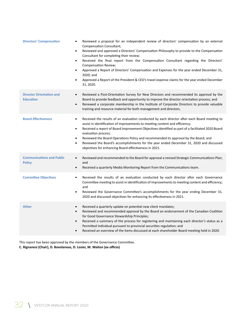| <b>Directors' Compensation</b>                      | Reviewed a proposal for an independent review of directors' compensation by an external<br><b>Compensation Consultant;</b><br>Reviewed and approved a Directors' Compensation Philosophy to provide to the Compensation<br>$\bullet$<br>Consultant for completing their review;<br>Received the final report from the Compensation Consultant regarding the Directors'<br>$\bullet$<br>Compensation Review;<br>Approved a Report of Directors' Compensation and Expenses for the year ended December 31,<br>$\bullet$<br>2020; and<br>Approved a Report of the President & CEO's travel expense claims for the year ended December<br>$\bullet$<br>31, 2020. |
|-----------------------------------------------------|--------------------------------------------------------------------------------------------------------------------------------------------------------------------------------------------------------------------------------------------------------------------------------------------------------------------------------------------------------------------------------------------------------------------------------------------------------------------------------------------------------------------------------------------------------------------------------------------------------------------------------------------------------------|
| <b>Director Orientation and</b><br><b>Education</b> | Reviewed a Post-Orientation Survey for New Directors and recommended its approval by the<br>$\bullet$<br>Board to provide feedback and opportunity to improve the director orientation process; and<br>Renewed a corporate membership in the Institute of Corporate Directors to provide valuable<br>$\bullet$<br>training and resource material for both management and directors.                                                                                                                                                                                                                                                                          |
| <b>Board Effectiveness</b>                          | Received the results of an evaluation conducted by each director after each Board meeting to<br>$\bullet$<br>assist in identification of improvements to meeting content and efficiency;<br>Received a report of Board Improvement Objectives identified as part of a facilitated 2020 Board<br>$\bullet$<br>evaluation process;<br>Reviewed the Board Operations Policy and recommended its approval by the Board; and<br>$\bullet$<br>Reviewed the Board's accomplishments for the year ended December 31, 2020 and discussed<br>$\bullet$<br>objectives for enhancing Board effectiveness in 2021.                                                        |
| <b>Communications and Public</b><br><b>Policy</b>   | Reviewed and recommended to the Board for approval a revised Strategic Communications Plan;<br>$\bullet$<br>and<br>Received a quarterly Media Monitoring Report from the Communications team.<br>$\bullet$                                                                                                                                                                                                                                                                                                                                                                                                                                                   |
| <b>Committee Objectives</b>                         | Received the results of an evaluation conducted by each director after each Governance<br>$\bullet$<br>Committee meeting to assist in identification of improvements to meeting content and efficiency;<br>and<br>Reviewed the Governance Committee's accomplishments for the year ending December 31,<br>$\bullet$<br>2020 and discussed objectives for enhancing its effectiveness in 2021.                                                                                                                                                                                                                                                                |
| <b>Other</b>                                        | Received a quarterly update on potential new client mandates;<br>$\bullet$<br>Reviewed and recommended approval by the Board an endorsement of the Canadian Coalition<br>$\bullet$<br>for Good Governance Stewardship Principles;<br>Received a summary of the process for registering and maintaining each director's status as a<br>$\bullet$<br>Permitted Individual pursuant to provincial securities regulation; and<br>Received an overview of the items discussed at each shareholder Board meeting held in 2020.<br>$\bullet$                                                                                                                        |
|                                                     |                                                                                                                                                                                                                                                                                                                                                                                                                                                                                                                                                                                                                                                              |

This report has been approved by the members of the Governance Committee. **C. Rignanesi (Chair), D. Bovolaneas, D. Losier, M. Walton (ex officio)**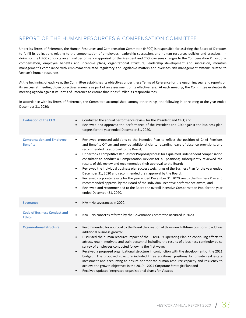## REPORT OF THE HUMAN RESOURCES & COMPENSATION COMMITTEE

Under its Terms of Reference, the Human Resources and Compensation Committee (HRCC) is responsible for assisting the Board of Directors to fulfill its obligations relating to the compensation of employees, leadership succession, and human resources policies and practices. In doing so, the HRCC conducts an annual performance appraisal for the President and CEO, oversees changes to the Compensation Philosophy, compensation, employee benefits and incentive plans, organizational structure, leadership development and succession, monitors management's compliance with employment-related regulatory and legislative matters and oversees risk management systems related to Vestcor's human resources

At the beginning of each year, the Committee establishes its objectives under these Terms of Reference for the upcoming year and reports on its success at meeting those objectives annually as part of an assessment of its effectiveness. At each meeting, the Committee evaluates its meeting agenda against its Terms of Reference to ensure that it has fulfilled its responsibilities.

In accordance with its Terms of Reference, the Committee accomplished, among other things, the following in or relating to the year ended December 31, 2020:

| <b>Evaluation of the CEO</b>                         | Conducted the annual performance review for the President and CEO; and<br>$\bullet$<br>Reviewed and approved the performance of the President and CEO against the business plan<br>$\bullet$<br>targets for the year ended December 31, 2020.                                                                                                                                                                                                                                                                                                                                                                                                                                                                                                                                                                                                                                                                                                                                                                                                                         |
|------------------------------------------------------|-----------------------------------------------------------------------------------------------------------------------------------------------------------------------------------------------------------------------------------------------------------------------------------------------------------------------------------------------------------------------------------------------------------------------------------------------------------------------------------------------------------------------------------------------------------------------------------------------------------------------------------------------------------------------------------------------------------------------------------------------------------------------------------------------------------------------------------------------------------------------------------------------------------------------------------------------------------------------------------------------------------------------------------------------------------------------|
| <b>Compensation and Employee</b><br><b>Benefits</b>  | Reviewed proposed additions to the Incentive Plan to reflect the position of Chief Pensions<br>$\bullet$<br>and Benefits Officer and provide additional clarity regarding leave of absence provisions, and<br>recommended its approval to the Board;<br>Undertook a competitive Request for Proposal process for a qualified, independent compensation<br>$\bullet$<br>consultant to conduct a Compensation Review for all positions; subsequently reviewed the<br>results of this review and recommended their approval to the Board;<br>Reviewed the individual business plan success weightings of the Business Plan for the year ended<br>$\bullet$<br>December 31, 2020 and recommended their approval by the Board;<br>Reviewed corporate results for the year ended December 31, 2020 versus the Business Plan and<br>$\bullet$<br>recommended approval by the Board of the individual incentive performance award; and<br>Reviewed and recommended to the Board the overall Incentive Compensation Pool for the year<br>$\bullet$<br>ended December 31, 2020. |
| <b>Severance</b>                                     | N/A - No severances in 2020.<br>$\bullet$                                                                                                                                                                                                                                                                                                                                                                                                                                                                                                                                                                                                                                                                                                                                                                                                                                                                                                                                                                                                                             |
| <b>Code of Business Conduct and</b><br><b>Ethics</b> | N/A - No concerns referred by the Governance Committee occurred in 2020.<br>$\bullet$                                                                                                                                                                                                                                                                                                                                                                                                                                                                                                                                                                                                                                                                                                                                                                                                                                                                                                                                                                                 |
| <b>Organizational Structure</b>                      | Recommended for approval by the Board the creation of three new full-time positions to address<br>$\bullet$<br>additional business growth;<br>Discussed the human resource impact of the COVID-19 Operating Plan on continuing efforts to<br>$\bullet$<br>attract, retain, motivate and train personnel including the results of a business continuity pulse<br>survey of employees conducted following the first wave;<br>Received a proposed organizational structure in conjunction with the development of the 2021<br>$\bullet$<br>budget. The proposed structure included three additional positions for private real estate<br>investment and accounting to ensure appropriate human resource capacity and resiliency to<br>achieve the growth objectives in the 2019 - 2024 Corporate Strategic Plan; and<br>Received updated integrated organizational charts for Vestcor.<br>$\bullet$                                                                                                                                                                      |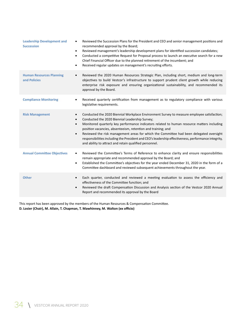| <b>Leadership Development and</b><br><b>Succession</b> | Reviewed the Succession Plans for the President and CEO and senior management positions and<br>$\bullet$<br>recommended approval by the Board;<br>Reviewed management's leadership development plans for identified succession candidates;<br>$\bullet$<br>Conducted a competitive Request for Proposal process to launch an executive search for a new<br>$\bullet$<br>Chief Financial Officer due to the planned retirement of the incumbent; and<br>Received regular updates on management's recruiting efforts.<br>$\bullet$                                                                                           |
|--------------------------------------------------------|----------------------------------------------------------------------------------------------------------------------------------------------------------------------------------------------------------------------------------------------------------------------------------------------------------------------------------------------------------------------------------------------------------------------------------------------------------------------------------------------------------------------------------------------------------------------------------------------------------------------------|
| <b>Human Resources Planning</b><br>and Policies        | Reviewed the 2020 Human Resources Strategic Plan, including short, medium and long-term<br>$\bullet$<br>objectives to build Vestcor's infrastructure to support prudent client growth while reducing<br>enterprise risk exposure and ensuring organizational sustainability, and recommended its<br>approval by the Board.                                                                                                                                                                                                                                                                                                 |
| <b>Compliance Monitoring</b>                           | Received quarterly certification from management as to regulatory compliance with various<br>$\bullet$<br>legislative requirements.                                                                                                                                                                                                                                                                                                                                                                                                                                                                                        |
| <b>Risk Management</b>                                 | Conducted the 2020 Biennial Workplace Environment Survey to measure employee satisfaction;<br>$\bullet$<br>Conducted the 2020 Biennial Leadership Survey;<br>$\bullet$<br>Monitored quarterly key performance indicators related to human resource matters including<br>$\bullet$<br>position vacancies, absenteeism, retention and training; and<br>Reviewed the risk management areas for which the Committee had been delegated oversight<br>$\bullet$<br>responsibilities including the President and CEO's leadership effectiveness, performance integrity,<br>and ability to attract and retain qualified personnel. |
| <b>Annual Committee Objectives</b>                     | Reviewed the Committee's Terms of Reference to enhance clarity and ensure responsibilities<br>$\bullet$<br>remain appropriate and recommended approval by the Board; and<br>Established the Committee's objectives for the year ended December 31, 2020 in the form of a<br>$\bullet$<br>Committee dashboard and reviewed subsequent achievements throughout the year.                                                                                                                                                                                                                                                     |
| <b>Other</b>                                           | Each quarter, conducted and reviewed a meeting evaluation to assess the efficiency and<br>$\bullet$<br>effectiveness of the Committee function; and<br>Reviewed the draft Compensation Discussion and Analysis section of the Vestcor 2020 Annual<br>$\bullet$<br>Report and recommended its approval by the Board                                                                                                                                                                                                                                                                                                         |

This report has been approved by the members of the Human Resources & Compensation Committee. **D. Losier (Chair), M. Allain, T. Chapman, T. Mawhinney, M. Walton (ex officio)**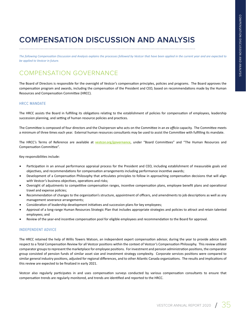# **COMPENSATION DISCUSSION AND ANALYSIS**

*The following Compensation Discussion and Analysis explains the processes followed by Vestcor that have been applied in the current year and are expected to be applied to Vestcor in future.*

## COMPENSATION GOVERNANCE

The Board of Directors is responsible for the oversight of Vestcor's compensation principles, policies and programs. The Board approves the compensation program and awards, including the compensation of the President and CEO, based on recommendations made by the Human Resources and Compensation Committee (HRCC).

#### HRCC MANDATE

The HRCC assists the Board in fulfilling its obligations relating to the establishment of policies for compensation of employees, leadership succession planning, and setting of human resource policies and practices.

The Committee is composed of four directors and the Chairperson who acts on the Committee in an *ex officio* capacity. The Committee meets a minimum of three times each year. External human resources consultants may be used to assist the Committee with fulfilling its mandate.

The HRCC's Terms of Reference are available at **vestcor.org/governance**, under "Board Committees" and "The Human Resources and Compensation Committee".

Key responsibilities include:

- Participation in an annual performance appraisal process for the President and CEO, including establishment of measurable goals and objectives, and recommendations for compensation arrangements including performance incentive awards;
- Development of a Compensation Philosophy that articulates principles to follow in approaching compensation decisions that will align with Vestcor's business objectives, operations and risks;
- Oversight of adjustments to competitive compensation ranges, incentive compensation plans, employee benefit plans and operational travel and expense policies;
- Recommendation of changes to the organization's structure, appointment of officers, and amendments to job descriptions as well as any management severance arrangements;
- Consideration of leadership development initiatives and succession plans for key employees;
- Approval of a long-range Human Resources Strategic Plan that includes appropriate strategies and policies to attract and retain talented employees; and
- Review of the year-end incentive compensation pool for eligible employees and recommendation to the Board for approval.

#### INDEPENDENT ADVICE

The HRCC retained the help of Willis Towers Watson, an independent expert compensation advisor, during the year to provide advice with respect to a Total Compensation Review for all Vestcor positions within the context of Vestcor's Compensation Philosophy. This review utilized comparator groups to represent the marketplace for employee positions. For investment and pension administration positions, the comparator group consisted of pension funds of similar asset size and investment strategy complexity. Corporate services positions were compared to similar general industry positions, adjusted for regional differences, and to other Atlantic Canada organizations. The results and implications of this review are expected to be finalized in early 2021.

Vestcor also regularly participates in and uses compensation surveys conducted by various compensation consultants to ensure that compensation trends are regularly monitored, and trends are identified and reported to the HRCC.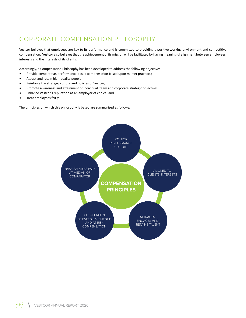## CORPORATE COMPENSATION PHILOSOPHY

Vestcor believes that employees are key to its performance and is committed to providing a positive working environment and competitive compensation. Vestcor also believes that the achievement of its mission will be facilitated by having meaningful alignment between employees' interests and the interests of its clients.

Accordingly, a Compensation Philosophy has been developed to address the following objectives:

- Provide competitive, performance-based compensation based upon market practices;
- Attract and retain high-quality people;
- Reinforce the strategy, culture and policies of Vestcor;
- Promote awareness and attainment of individual, team and corporate strategic objectives;
- Enhance Vestcor's reputation as an employer of choice; and
- Treat employees fairly.

The principles on which this philosophy is based are summarized as follows:

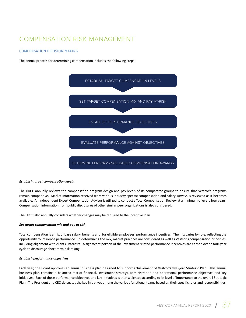## COMPENSATION RISK MANAGEMENT

#### COMPENSATION DECISION-MAKING

The annual process for determining compensation includes the following steps:



#### *Establish target compensation levels*

The HRCC annually reviews the compensation program design and pay levels of its comparator groups to ensure that Vestcor's programs remain competitive. Market information received from various industry specific compensation and salary surveys is reviewed as it becomes available. An Independent Expert Compensation Advisor is utilized to conduct a Total Compensation Review at a minimum of every four years. Compensation information from public disclosures of other similar peer organizations is also considered.

The HRCC also annually considers whether changes may be required to the Incentive Plan.

#### *Set target compensation mix and pay at-risk*

Total compensation is a mix of base salary, benefits and, for eligible employees, performance incentives. The mix varies by role, reflecting the opportunity to influence performance. In determining the mix, market practices are considered as well as Vestcor's compensation principles, including alignment with clients' interests. A significant portion of the investment related performance incentives are earned over a four-year cycle to discourage short-term risk-taking.

#### *Establish performance objectives*

Each year, the Board approves an annual business plan designed to support achievement of Vestcor's five-year Strategic Plan. This annual business plan contains a balanced mix of financial, investment strategy, administration and operational performance objectives and key initiatives. Each of these performance objectives and key initiatives is then weighted according to its level of importance to the overall Strategic Plan. The President and CEO delegates the key initiatives among the various functional teams based on their specific roles and responsibilities.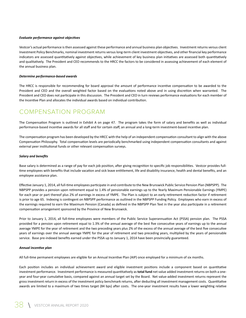#### *Evaluate performance against objectives*

Vestcor's actual performance is then assessed against these performance and annual business plan objectives. Investment returns versus client Investment Policy Benchmarks, nominal investment returns versus long-term client investment objectives, and other financial key performance indicators are assessed quantitatively against objectives, while achievement of key business plan initiatives are assessed both quantitatively and qualitatively. The President and CEO recommends to the HRCC the factors to be considered in assessing achievement of each element of the annual business plan.

#### *Determine performance-based awards*

The HRCC is responsible for recommending for board approval the amount of performance incentive compensation to be awarded to the President and CEO and the overall weighted factor based on the evaluations noted above and in using discretion when warranted. The President and CEO does not participate in this discussion. The President and CEO in turn reviews performance evaluations for each member of the Incentive Plan and allocates the individual awards based on individual contribution.

## COMPENSATION PROGRAM

The Compensation Program is outlined in Exhibit A on page 47. The program takes the form of salary and benefits as well as individual performance-based incentive awards for all staff and for certain staff, an annual and a long-term investment-based incentive plan.

The compensation program has been developed by the HRCC with the help of an independent compensation consultant to align with the above Compensation Philosophy. Total compensation levels are periodically benchmarked using independent compensation consultants and against external peer institutional funds or other relevant compensation surveys.

#### *Salary and benefits*

Base salary is determined as a range of pay for each job position, after giving recognition to specific job responsibilities. Vestcor provides fulltime employees with benefits that include vacation and sick leave entitlement, life and disability insurance, health and dental benefits, and an employee assistance plan.

Effective January 1, 2014, all full-time employees participate in and contribute to the New Brunswick Public Service Pension Plan (NBPSPP). The NBPSPP provides a pension upon retirement equal to 1.4% of pensionable earnings up to the Yearly Maximum Pensionable Earnings (YMPE) for each year or part thereof plus 2% of earnings in excess of YMPE. The Plan is subject to an early retirement reduction factor if retirement is prior to age 65. Indexing is contingent on NBPSPP performance as outlined in the NBPSPP Funding Policy. Employees who earn in excess of the earnings required to earn the Maximum Pension (Canada) as defined in the NBPSPP Plan Text in the year also participate in a retirement compensation arrangement sponsored by the Province of New Brunswick.

Prior to January 1, 2014, all full-time employees were members of the Public Service Superannuation Act (PSSA) pension plan. The PSSA provided for a pension upon retirement equal to 1.3% of the annual average of the best five consecutive years of earnings up to the annual average YMPE for the year of retirement and the two preceding years plus 2% of the excess of the annual average of the best five consecutive years of earnings over the annual average YMPE for the year of retirement and two preceding years, multiplied by the years of pensionable service. Base pre-indexed benefits earned under the PSSA up to January 1, 2014 have been provincially guaranteed.

#### *Annual incentive plan*

All full-time permanent employees are eligible for an Annual Incentive Plan (AIP) once employed for a minimum of six months.

Each position includes an individual achievement award and eligible investment positions include a component based on quantitative investment performance. Investment performance is measured quantitatively as **total fund** net value added investment returns on both a oneyear and four-year cumulative basis, compared against an annual target set by the Board. Net value-added investment returns represent the gross investment return in excess of the investment policy benchmark returns, after deducting all investment management costs. Quantitative awards are limited to a maximum of two times target (84 bps) after costs. The one-year investment results have a lower weighting relative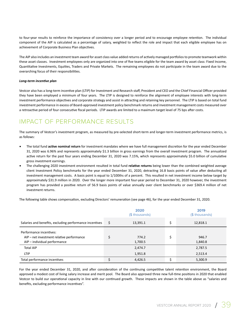to four-year results to reinforce the importance of consistency over a longer period and to encourage employee retention. The individual component of the AIP is calculated as a percentage of salary, weighted to reflect the role and impact that each eligible employee has on achievement of Corporate Business Plan objectives.

The AIP also includes an investment team award for asset class value added returns of actively managed portfolios to promote teamwork within these asset classes. Investment employees only are organized into one of five teams eligible for the team award by asset class: Fixed Income, Quantitative Investments, Equities, Traders and Private Markets. The remaining employees do not participate in the team award due to the overarching focus of their responsibilities.

#### *Long-term incentive plan*

Vestcor also has a long-term incentive plan (LTIP) for Investment and Research staff, President and CEO and the Chief Financial Officer provided they have been employed a minimum of four years. The LTIP is designed to reinforce the alignment of employee interests with long-term investment performance objectives and corporate strategy and assist in attracting and retaining key personnel. The LTIP is based on total fund investment performance in excess of Board-approved investment policy benchmark returns and investment management costs measured over a retroactive period of four consecutive fiscal periods. LTIP awards are limited to a maximum target level of 75 bps after costs.

## IMPACT OF PERFORMANCE RESULTS

The summary of Vestcor's investment program, as measured by pre-selected short-term and longer-term investment performance metrics, is as follows:

- The total fund **active nominal return** for investment mandates where we have full management discretion for the year ended December 31, 2020 was 6.96% and represents approximately \$1.3 billion in gross earnings from the overall investment program. The annualized active return for the past four years ending December 31, 2020 was 7.15%, which represents approximately \$5.0 billion of cumulative gross investment earnings.
- The challenging 2020 investment environment resulted in total fund **relative returns** being lower than the combined weighted average client Investment Policy benchmarks for the year ended December 31, 2020, detracting 16.8 basis points of value after deducting all investment management costs. A basis point is equal to 1/100ths of a percent. This resulted in net investment income below target by approximately \$31.9 million in 2020. Over the longer more important four-year period to December 31, 2020 however, the investment program has provided a positive return of 56.9 basis points of value annually over client benchmarks or over \$369.4 million of net investment returns.

The following table shows compensation, excluding Directors' remuneration (see page 46), for the year ended December 31, 2020.

|                                                                      | 2020<br>(\$ thousands) |    | 2019<br>(\$ thousands) |
|----------------------------------------------------------------------|------------------------|----|------------------------|
| Salaries and benefits, excluding performance incentives              | \$<br>13,391.1         | \$ | 12,818.1               |
| Performance incentives:<br>AIP – net investment relative performance | 774.2                  | \$ | 946.7                  |
| AIP - individual performance                                         | 1,700.5                |    | 1,840.8                |
| <b>Total AIP</b>                                                     | 2,474.7                |    | 2,787.5                |
| <b>LTIP</b>                                                          | 1,951.8                |    | 2,513.4                |
| Total performance incentives                                         | 4,426.5                | Ś  | 5,300.9                |

For the year ended December 31, 2020, and after consideration of the continuing competitive talent retention environment, the Board approved a modest cost of living salary increase and merit pool. The Board also approved three new full-time positions in 2020 that enabled Vestcor to build our operational capacity in line with our continued growth. These impacts are shown in the table above as "salaries and benefits, excluding performance incentives".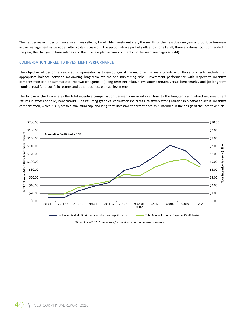The net decrease in performance incentives reflects, for eligible investment staff, the results of the negative one year and positive four-year active management value added after costs discussed in the section above partially offset by, for all staff, three additional positions added in the year, the changes to base salaries and the business plan accomplishments for the year (see pages 43 - 44).

#### COMPENSATION LINKED TO INVESTMENT PERFORMANCE

The objective of performance-based compensation is to encourage alignment of employee interests with those of clients, including an appropriate balance between maximizing long-term returns and minimizing risks. Investment performance with respect to incentive compensation can be summarized into two categories: (i) long-term net relative investment returns versus benchmarks, and (ii) long-term nominal total fund portfolio returns and other business plan achievements.

The following chart compares the total incentive compensation payments awarded over time to the long-term annualized net investment returns in excess of policy benchmarks. The resulting graphical correlation indicates a relatively strong relationship between actual incentive compensation, which is subject to a maximum cap, and long-term investment performance as is intended in the design of the incentive plan.



*\*Note: 9 month 2016 annualized for calculation and comparison purposes.*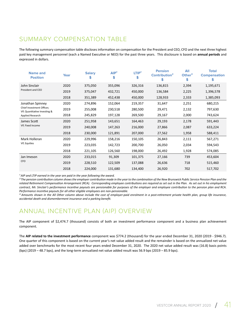## SUMMARY COMPENSATION TABLE

The following summary compensation table discloses information on compensation for the President and CEO, CFO and the next three highest paid key management personnel (each a Named Executive or NEO) for the past three years. This disclosure is based on **annual periods** and expressed in dollars.

| <b>Name and</b><br><b>Position</b>                        | Year | <b>Salary</b><br>\$ | AIP <sup>1</sup><br>\$ | LTIP <sup>1</sup><br>\$ | <b>Pension</b><br>Contribution <sup>2</sup><br>\$ | All<br>Other $3$<br>\$ | <b>Total</b><br><b>Compensation</b><br>S |
|-----------------------------------------------------------|------|---------------------|------------------------|-------------------------|---------------------------------------------------|------------------------|------------------------------------------|
| John Sinclair                                             | 2020 | 375,050             | 355,096                | 326,316                 | 136,815                                           | 2,394                  | 1,195,671                                |
| President and CEO                                         | 2019 | 375,047             | 432,721                | 450,000                 | 136,584                                           | 2,225                  | 1,396,578                                |
|                                                           | 2018 | 351,389             | 452,438                | 450,000                 | 128,933                                           | 2,333                  | 1,385,093                                |
| Jonathan Spinney                                          | 2020 | 274,896             | 152,064                | 219,357                 | 31,647                                            | 2,251                  | 680,215                                  |
| Chief Investment Officer,<br>VP, Quantitative Investing & | 2019 | 255,008             | 230,518                | 280,500                 | 29,471                                            | 2,132                  | 797,630                                  |
| Applied Research                                          | 2018 | 245,829             | 197,128                | 269,500                 | 29,167                                            | 2,000                  | 743,624                                  |
| James Scott                                               | 2020 | 251,958             | 143,651                | 164,463                 | 29,193                                            | 2,178                  | 591,443                                  |
| VP, Fixed Income                                          | 2019 | 240,008             | 147,263                | 216,000                 | 27,866                                            | 2,087                  | 633,224                                  |
|                                                           | 2018 | 230,000             | 121,891                | 207,000                 | 27,562                                            | 1,958                  | 588,411                                  |
| Mark Holleran                                             | 2020 | 229,996             | 158,216                | 150,105                 | 26,843                                            | 2,111                  | 567,271                                  |
| VP, Equities                                              | 2019 | 223,035             | 142,723                | 200,700                 | 26,050                                            | 2,034                  | 594,543                                  |
|                                                           | 2018 | 221,105             | 126,560                | 198,000                 | 26,492                                            | 1,928                  | 574,085                                  |
| Jan Imeson                                                | 2020 | 233,015             | 91,309                 | 101,375                 | 27,166                                            | 739                    | 453,604                                  |
| <b>CFO</b>                                                | 2019 | 228,510             | 122,509                | 137,088                 | 26,636                                            | 718                    | 515,460                                  |
|                                                           | 2018 | 224,000             | 131,680                | 134,400                 | 26,920                                            | 702                    | 517,702                                  |

<sup>1</sup> AIP and LTIP earned in the year are paid in the year following the award.

*² The pension contribution column shows the employer contribution made in the year to the combination of the New Brunswick Public Service Pension Plan and the related Retirement Compensation Arrangement (RCA). Corresponding employee contributions are required as set out in the Plan. As set out in his employment contract, Mr. Sinclair's performance incentive payouts are pensionable for purposes of the employer and employee contribution to the pension plan and RCA. Performance incentive payouts for all other eligible employees are non-pensionable.*

*³ Amounts shown in the All Other column above include the cost of employer-paid enrolment in a post-retirement private health plan, group life insurance, accidental death and dismemberment insurance and a parking benefit.*

## ANNUAL INCENTIVE PLAN (AIP) OVERVIEW

The AIP component of \$2,474.7 (thousand) consists of both an investment performance component and a business plan achievement component.

The **AIP related to the investment performance** component was \$774.2 (thousand) for the year ended December 31, 2020 (2019 - \$946.7). One quarter of this component is based on the current year's net value added result and the remainder is based on the annualized net value added over benchmarks for the most recent four years ended December 31, 2020. The 2020 net value added result was (16.8) basis points (bps) (2019 – 48.7 bps), and the long-term annualized net value added result was 56.9 bps (2019 – 85.9 bps).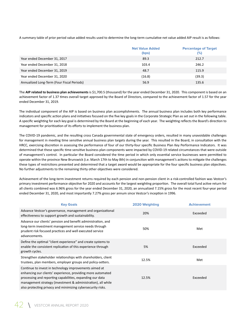A summary table of prior period value added results used to determine the long-term cumulative net value added AIP result is as follows:

|                                            | <b>Net Value Added</b><br>(bps) | <b>Percentage of Target</b><br>$(\%)$ |
|--------------------------------------------|---------------------------------|---------------------------------------|
| Year ended December 31, 2017               | 89.3                            | 212.7                                 |
| Year ended December 31, 2018               | 103.4                           | 246.2                                 |
| Year ended December 31, 2019               | 48.7                            | 115.9                                 |
| Year ended December 31, 2020               | (16.8)                          | (39.3)                                |
| Annualized Long-Term (Four Fiscal Periods) | 56.9                            | 135.6                                 |

The **AIP related to business plan achievements** is \$1,700.5 (thousand) for the year ended December 31, 2020. This component is based on an achievement factor of 1.37 times overall target approved by the Board of Directors, compared to the achievement factor of 1.57 for the year ended December 31, 2019.

The individual component of the AIP is based on business plan accomplishments. The annual business plan includes both key performance indicators and specific action plans and initiatives focused on the five key goals in the Corporate Strategic Plan as set out in the following table. A specific weighting for each key goal is determined by the Board at the beginning of each year. The weighting reflects the Board's direction to management for prioritization of its efforts to implement the business plan.

The COVID-19 pandemic, and the resulting cross Canada governmental state of emergency orders, resulted in many unavoidable challenges for management in meeting time sensitive annual business plan targets during the year. This resulted in the Board, in consultation with the HRCC, exercising discretion in assessing the performance of four of our thirty-four specific Business Plan Key Performance Indicators. It was determined that these specific time sensitive business plan components were impacted by COVID-19 related circumstances that were outside of management's control. In particular the Board considered the time period in which only essential service businesses were permitted to operate within the province New Brunswick (i.e. March 17th to May 8th) in conjunction with management's actions to mitigate the challenges these types of restrictions presented and determined that a target award would be appropriate for the four specific business plan objectives. No further adjustments to the remaining thirty other objectives were considered.

Achievement of the long-term investment returns required by each pension and non-pension client in a risk-controlled fashion was Vestcor's primary investment performance objective for 2020 and accounts for the largest weighting proportion. The overall total fund active return for all clients combined was 6.96% gross for the year ended December 31, 2020, an annualized 7.15% gross for the most recent four-year period ended December 31, 2020, and most importantly 7.27% gross per annum since Vestcor's inception in 1996.

| <b>Key Goals</b>                                                                                                                                                                                                                                                                                                  | 2020 Weighting | <b>Achievement</b> |
|-------------------------------------------------------------------------------------------------------------------------------------------------------------------------------------------------------------------------------------------------------------------------------------------------------------------|----------------|--------------------|
| Advance Vestcor's governance, management and organizational<br>effectiveness to support growth and sustainability.                                                                                                                                                                                                | 20%            | Exceeded           |
| Advance our clients' pension and benefit administration, and<br>long-term investment management service needs through<br>prudent risk focused practices and well executed service<br>advancements.                                                                                                                | 50%            | Met                |
| Define the optimal "client experience" and create systems to<br>enable the consistent replication of this experience through<br>growth cycles.                                                                                                                                                                    | 5%             | Exceeded           |
| Strengthen stakeholder relationships with shareholders, client<br>trustees, plan members, employer groups and policy-setters.                                                                                                                                                                                     | 12.5%          | Met                |
| Continue to invest in technology improvements aimed at<br>enhancing our clients' experience, providing more automated<br>processing and reporting capabilities, expanding our data<br>management strategy (investment & administration), all while<br>also protecting privacy and minimizing cybersecurity risks. | 12.5%          | Exceeded           |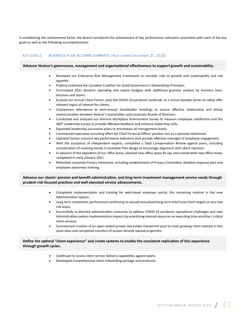In establishing the achievement factor, the Board considered the achievement of key performance indicators associated with each of the key goals as well as the following accomplishments:

#### KEY GOALS BUSINESS PLAN ACCOMPLISHMENTS (Year ended December 31, 2020)

#### **Advance Vestcor's governance, management and organizational effectiveness to support growth and sustainability.**

- Reviewed our Enterprise Risk Management Framework to consider risks to growth and sustainability and risk appetite.
- Publicly endorsed the Canadian Coalition for Good Governance's Stewardship Principles.
- Formulated 2021 dynamic operating and capital budgets with additional granular analysis by business lines, divisions and teams.
- Evolved our annual Client Forum, post the COVID-19 pandemic outbreak, to a virtual Speaker Series to safely offer relevant topics of interest for clients.
- Chairperson attendance at semi-annual shareholder meetings to ensure effective relationship and timely communication between Vestcor's shareholder and corporate Boards of Directors.
- Conducted and analyzed our biennial Workplace Environment Survey to measure employee satisfaction and the 360<sup>°</sup> Leadership Survey to provide effective feedback and enhance leadership skills.
- Expanded leadership succession plans to encompass all management levels.
- Commenced executive recruiting effort for Chief Financial Officer position due to a planned retirement.
- Updated human resource key performance indicators that provide effective oversight of employee engagement.
- With the assistance of independent experts, completed a Total Compensation Review against peers, including consideration of evolving trends in Incentive Plan design to encourage alignment with client interests.
- In advance of the expiration of our office lease, planned new office space fit-ups and coordinated new office move, completed in early January 2021.
- Refreshed corporate Privacy Statement, including establishment of Privacy Committee, detailed response plan and employee awareness training.

#### **Advance our clients' pension and benefit administration, and long-term investment management service needs through prudent risk focused practices and well executed service advancements.**

- Completed implementation and training for web-based employer portal, the remaining module in the new Administration system.
- Long-term investment performance continuing to exceed annualized long-term total fund client targets at very low risk levels.
- Successfully re-directed administration resources to address COVID-19 pandemic operational challenges and new Administration system implementation impacts by prioritizing internal resources on executing time sensitive / critical client services.
- Commenced creation of an open-ended private real estate investment pool to meet growing client interest in this asset class and completed transfers of certain directly owned properties.

#### **Define the optimal "client experience" and create systems to enable the consistent replication of this experience through growth cycles.**

- Continued to assess client service delivery capabilities against peers.
- Developed comprehensive client onboarding package and protocols.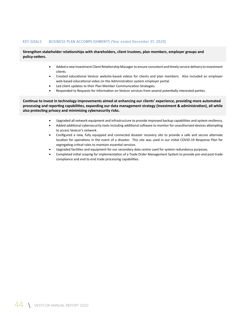#### KEY GOALS BUSINESS PLAN ACCOMPLISHMENTS (Year ended December 31, 2020)

#### **Strengthen stakeholder relationships with shareholders, client trustees, plan members, employer groups and policy-setters.**

- Added a new Investment Client Relationship Manager to ensure consistent and timely service delivery to investment clients.
- Created educational Vestcor website-based videos for clients and plan members. Also included an employer web-based educational video on the Administration system employer portal.
- Led client updates to their Plan Member Communication Strategies.
- Responded to Requests for Information on Vestcor services from several potentially interested parties.

**Continue to invest in technology improvements aimed at enhancing our clients' experience, providing more automated processing and reporting capabilities, expanding our data management strategy (investment & administration), all while also protecting privacy and minimizing cybersecurity risks.** 

- Upgraded all network equipment and infrastructure to provide improved backup capabilities and system resiliency.
- Added additional cybersecurity tools including additional software to monitor for unauthorized devices attempting to access Vestcor's network.
- Configured a new, fully equipped and connected disaster recovery site to provide a safe and secure alternate location for operations in the event of a disaster. This site was used in our initial COVID-19 Response Plan for segregating critical roles to maintain essential services.
- Upgraded facilities and equipment for our secondary data centre used for system redundancy purposes.
- Completed initial scoping for implementation of a Trade Order Management System to provide pre-and post-trade compliance and end to end trade processing capabilities.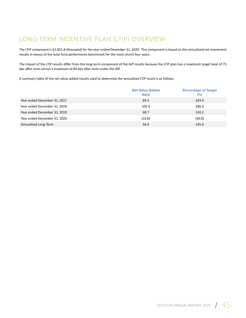## LONG-TERM INCENTIVE PLAN (LTIP) OVERVIEW

The LTIP component is \$1,951.8 (thousand) for the year ended December 31, 2020. This component is based on the annualized net investment results in excess of the total fund performance benchmark for the most recent four years.

The impact of the LTIP results differ from the long-term component of the AIP results because the LTIP plan has a maximum target level of 75 bps after costs versus a maximum of 84 bps after costs under the AIP.

A summary table of the net value-added results used to determine the annualized LTIP result is as follows:

|                              | <b>Net Value Added</b><br>(bps) | <b>Percentage of Target</b><br>$(\%)$ |
|------------------------------|---------------------------------|---------------------------------------|
| Year ended December 31, 2017 | 89.3                            | 243.4                                 |
| Year ended December 31, 2018 | 103.4                           | 286.0                                 |
| Year ended December 31, 2019 | 48.7                            | 120.2                                 |
| Year ended December 31, 2020 | (16.8)                          | (40.0)                                |
| Annualized Long-Term         | 56.9                            | 145.0                                 |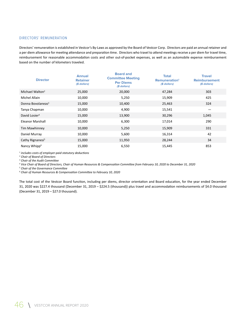#### DIRECTORS' REMUNERATION

Directors' remuneration is established in Vestcor's By-Laws as approved by the Board of Vestcor Corp. Directors are paid an annual retainer and a per diem allowance for meeting attendance and preparation time. Directors who travel to attend meetings receive a per diem for travel time, reimbursement for reasonable accommodation costs and other out-of-pocket expenses, as well as an automobile expense reimbursement based on the number of kilometers traveled.

| <b>Director</b>               | <b>Annual</b><br><b>Retainer</b><br>(\$ dollars) | <b>Board and</b><br><b>Committee Meeting</b><br><b>Per Diems</b><br>(\$ dollars) | <b>Total</b><br>Remuneration <sup>1</sup><br>(\$ dollars) | <b>Travel</b><br><b>Reimbursement</b><br>(\$ dollars) |
|-------------------------------|--------------------------------------------------|----------------------------------------------------------------------------------|-----------------------------------------------------------|-------------------------------------------------------|
| Michael Walton <sup>2</sup>   | 25,000                                           | 20,000                                                                           | 47,284                                                    | 303                                                   |
| Michel Allain                 | 10,000                                           | 5,250                                                                            | 15,909                                                    | 425                                                   |
| Donna Bovolaneas <sup>3</sup> | 15,000                                           | 10,400                                                                           | 25,463                                                    | 324                                                   |
| Tanya Chapman                 | 10,000                                           | 4,900                                                                            | 15,541                                                    |                                                       |
| David Losier <sup>4</sup>     | 15,000                                           | 13,900                                                                           | 30,296                                                    | 1,045                                                 |
| <b>Eleanor Marshall</b>       | 10,000                                           | 6,300                                                                            | 17,014                                                    | 290                                                   |
| Tim Mawhinney                 | 10,000                                           | 5,250                                                                            | 15,909                                                    | 331                                                   |
| Daniel Murray                 | 10,000                                           | 5,600                                                                            | 16,314                                                    | 42                                                    |
| Cathy Rignanesi <sup>5</sup>  | 15,000                                           | 11,950                                                                           | 28,244                                                    | 34                                                    |
| Nancy Whipp <sup>6</sup>      | 15,000                                           | 6,550                                                                            | 15,445                                                    | 853                                                   |

*1 includes costs of employer-paid statutory deductions*

*2 Chair of Board of Directors*

*3 Chair of the Audit Committee*

*4 Vice Chair of Board of Directors, Chair of Human Resources & Compensation Committee from February 10, 2020 to December 31, 2020*

*5 Chair of the Governance Committee*

*6 Chair of Human Resources & Compensation Committee to February 10, 2020*

The total cost of the Vestcor Board function, including per diems, director orientation and Board education, for the year ended December 31, 2020 was \$227.4 thousand (December 31, 2019 – \$224.5 (thousand)) plus travel and accommodation reimbursements of \$4.0 thousand (December 31, 2019 – \$27.0 thousand).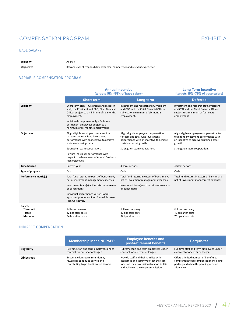## COMPENSATION PROGRAM EXHIBIT A

#### BASE SALARY

#### **Eligibility** All Staff

**Objectives** Reward level of responsibility, expertise, competency and relevant experience

#### VARIABLE COMPENSATION PROGRAM

|                                                        | <b>Annual Incentive</b><br>(targets 15% -55% of base salary)                                                                                            |                                                                                                                                                  | <b>Long-Term Incentive</b><br>(targets 15% - 75% of base salary)                                                                         |
|--------------------------------------------------------|---------------------------------------------------------------------------------------------------------------------------------------------------------|--------------------------------------------------------------------------------------------------------------------------------------------------|------------------------------------------------------------------------------------------------------------------------------------------|
|                                                        | <b>Short-term</b>                                                                                                                                       | Long-term                                                                                                                                        | <b>Deferred</b>                                                                                                                          |
| Eligibility                                            | Short-term plan - Investment and research<br>staff, the President and CEO, Chief Financial<br>Officer subject to a minimum of six months<br>employment. | Investment and research staff, President<br>and CEO and the Chief Financial Officer<br>subject to a minimum of six months<br>employment.         | Investment and research staff, President<br>and CEO and the Chief Financial Officer<br>subject to a minimum of four years<br>employment. |
|                                                        | Individual component only - Full-time<br>permanent employees subject to a<br>minimum of six months employment.                                          |                                                                                                                                                  |                                                                                                                                          |
| Objectives                                             | Align eligible employee compensation<br>to team and total fund investment<br>performance with an incentive to achieve<br>sustained asset growth.        | Align eligible employee compensation<br>to team and total fund investment<br>performance with an incentive to achieve<br>sustained asset growth. | Align eligible employee compensation to<br>total fund investment performance with<br>an incentive to achieve sustained asset<br>growth.  |
|                                                        | Strengthen team cooperation.                                                                                                                            | Strengthen team cooperation.                                                                                                                     | Strengthen team cooperation.                                                                                                             |
|                                                        | Reward individual performance with<br>respect to achievement of Annual Business<br>Plan objectives.                                                     |                                                                                                                                                  |                                                                                                                                          |
| <b>Time horizon</b>                                    | Current year                                                                                                                                            | 4 fiscal periods                                                                                                                                 | 4 fiscal periods                                                                                                                         |
| Type of program                                        | Cash                                                                                                                                                    | Cash                                                                                                                                             | Cash                                                                                                                                     |
| Performance metric(s)                                  | Total fund returns in excess of benchmark,<br>net of investment management expenses.                                                                    | Total fund returns in excess of benchmark,<br>net of investment management expenses.                                                             | Total fund returns in excess of benchmark,<br>net of investment management expenses.                                                     |
|                                                        | Investment team(s) active returns in excess<br>of benchmarks.                                                                                           | Investment team(s) active returns in excess<br>of benchmarks.                                                                                    |                                                                                                                                          |
|                                                        | Individual performance versus Board<br>approved pre-determined Annual Business<br>Plan Objectives.                                                      |                                                                                                                                                  |                                                                                                                                          |
| Range:<br><b>Threshold</b><br><b>Target</b><br>Maximum | Full cost recovery<br>42 bps after costs<br>84 bps after costs                                                                                          | Full cost recovery<br>42 bps after costs<br>84 bps after costs                                                                                   | Full cost recovery<br>42 bps after costs<br>75 bps after costs                                                                           |

#### INDIRECT COMPENSATION

|                    | <b>Membership in the NBPSPP</b>                                                                                | <b>Employee benefits and</b><br>post-retirement benefits                                                                                                                  | <b>Perquisites</b>                                                                                                                       |
|--------------------|----------------------------------------------------------------------------------------------------------------|---------------------------------------------------------------------------------------------------------------------------------------------------------------------------|------------------------------------------------------------------------------------------------------------------------------------------|
| <b>Eligibility</b> | Full-time staff and term employees under<br>contract for one year or longer.                                   | Full-time staff and term employees under<br>contract for one year or longer.                                                                                              | Full-time staff and term employees under<br>contract for one year or longer.                                                             |
| <b>Objectives</b>  | Encourage long-term retention by<br>rewarding continued service and<br>contributing to post-retirement income. | Provide staff and their families with<br>assistance and security so that they can<br>focus on their professional responsibilities<br>and achieving the corporate mission. | Offers a limited number of benefits to<br>complement total compensation including<br>parking and a health spending account<br>allowance. |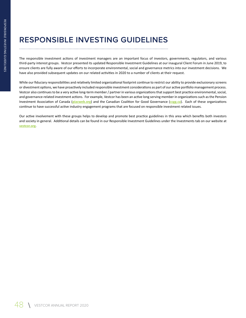# **RESPONSIBLE INVESTING GUIDELINES**

The responsible investment actions of investment managers are an important focus of investors, governments, regulators, and various third-party interest groups. Vestcor presented its updated Responsible Investment Guidelines at our inaugural Client Forum in June 2019, to ensure clients are fully aware of our efforts to incorporate environmental, social and governance metrics into our investment decisions. We have also provided subsequent updates on our related activities in 2020 to a number of clients at their request.

While our fiduciary responsibilities and relatively limited organizational footprint continue to restrict our ability to provide exclusionary screens or divestment options, we have proactively included responsible investment considerations as part of our active portfolio management process. Vestcor also continues to be a very active long-term member / partner in various organizations that support best practice environmental, social, and governance-related investment actions. For example, Vestcor has been an active long serving member in organizations such as the Pension Investment Association of Canada (**piacweb.org**) and the Canadian Coalition for Good Governance (**ccgg.ca**). Each of these organizations continue to have successful active industry engagement programs that are focused on responsible investment related issues.

Our active involvement with these groups helps to develop and promote best practice guidelines in this area which benefits both investors and society in general. Additional details can be found in our Responsible Investment Guidelines under the Investments tab on our website at **vestcor.org**.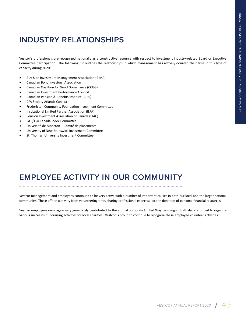# **INDUSTRY RELATIONSHIPS**

Vestcor's professionals are recognized nationally as a constructive resource with respect to investment industry-related Board or Executive Committee participation. The following list outlines the relationships in which management has actively donated their time in this type of capacity during 2020:

- Buy-Side Investment Management Association (BIMA)
- Canadian Bond Investors' Association
- Canadian Coalition for Good Governance (CCGG)
- Canadian Investment Performance Council
- Canadian Pension & Benefits Institute (CPBI)
- CFA Society Atlantic Canada
- Fredericton Community Foundation Investment Committee
- Institutional Limited Partner Association (ILPA)
- Pension Investment Association of Canada (PIAC)
- S&P/TSX Canada Index Committee
- Université de Moncton Comité de placements
- University of New Brunswick Investment Committee
- St. Thomas' University Investment Committee

## **EMPLOYEE ACTIVITY IN OUR COMMUNITY**

Vestcor management and employees continued to be very active with a number of important causes in both our local and the larger national community. These efforts can vary from volunteering time, sharing professional expertise, or the donation of personal financial resources.

Vestcor employees once again very generously contributed to the annual corporate United Way campaign. Staff also continued to organize various successful fundraising activities for local charities. Vestcor is proud to continue to recognize these employee volunteer activities.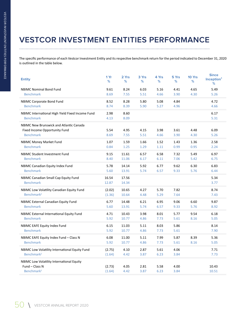# **VESTCOR INVESTMENT ENTITIES PERFORMANCE**

The specific performance of each Vestcor Investment Entity and its respective benchmark return for the period indicated to December 31, 2020 is outlined in the table below.

| <b>Entity</b>                                                                                       | 1 Yr<br>%        | 2 Yrs<br>%     | 3 Yrs<br>%   | 4 Yrs<br>℅   | 5 Yrs<br>℅   | 10 Yrs<br>%  | <b>Since</b><br>Inception <sup>1</sup><br>% |
|-----------------------------------------------------------------------------------------------------|------------------|----------------|--------------|--------------|--------------|--------------|---------------------------------------------|
| <b>NBIMC Nominal Bond Fund</b>                                                                      | 9.61             | 8.24           | 6.03         | 5.16         | 4.41         | 4.65         | 5.49                                        |
| <b>Benchmark</b>                                                                                    | 8.69             | 7.55           | 5.51         | 4.66         | 3.90         | 4.30         | 5.26                                        |
| <b>NBIMC Corporate Bond Fund</b>                                                                    | 8.52             | 8.28           | 5.80         | 5.08         | 4.84         |              | 4.72                                        |
| <b>Benchmark</b>                                                                                    | 8.74             | 8.39           | 5.90         | 5.27         | 4.96         |              | 4.66                                        |
| NBIMC International High Yield Fixed Income Fund<br><b>Benchmark</b>                                | 2.98<br>4.13     | 8.60<br>8.09   |              |              |              |              | 6.17<br>5.31                                |
| <b>NBIMC New Brunswick and Atlantic Canada</b><br>Fixed Income Opportunity Fund<br><b>Benchmark</b> | 5.54<br>8.69     | 4.95<br>7.55   | 4.15<br>5.51 | 3.98<br>4.66 | 3.61<br>3.90 | 4.48<br>4.30 | 6.09<br>5.26                                |
| <b>NBIMC Money Market Fund</b>                                                                      | 1.07             | 1.59           | 1.66         | 1.52         | 1.43         | 1.36         | 2.58                                        |
| <b>Benchmark</b>                                                                                    | 0.84             | 1.25           | 1.29         | 1.11         | 0.99         | 0.95         | 2.24                                        |
| NBIMC Student Investment Fund                                                                       | 9.15             | 11.61          | 6.57         | 6.58         | 7.32         | 5.49         | 6.97                                        |
| <b>Benchmark</b>                                                                                    | 8.40             | 11.06          | 6.17         | 6.11         | 7.06         | 5.42         | 6.75                                        |
| NBIMC Canadian Equity Index Fund                                                                    | 5.78             | 14.14          | 5.92         | 6.77         | 9.62         | 6.30         | 6.83                                        |
| <b>Benchmark</b>                                                                                    | 5.60             | 13.91          | 5.74         | 6.57         | 9.33         | 5.76         | 6.44                                        |
| NBIMC Canadian Small Cap Equity Fund<br><b>Benchmark</b>                                            | 16.54<br>12.87   | 17.56<br>14.34 |              |              |              |              | 5.34<br>3.77                                |
| NBIMC Low Volatility Canadian Equity Fund                                                           | (2.02)           | 10.65          | 4.27         | 5.70         | 7.82         |              | 8.74                                        |
| Benchmark <sup>2</sup>                                                                              | (1.36)           | 10.64          | 4.48         | 5.29         | 7.64         |              | 7.43                                        |
| <b>NBIMC External Canadian Equity Fund</b>                                                          | 6.77             | 14.48          | 6.21         | 6.95         | 9.06         | 6.60         | 9.87                                        |
| <b>Benchmark</b>                                                                                    | 5.60             | 13.91          | 5.74         | 6.57         | 9.33         | 5.76         | 8.92                                        |
| NBIMC External International Equity Fund                                                            | 4.71             | 10.43          | 3.98         | 8.01         | 5.77         | 9.54         | 6.18                                        |
| <b>Benchmark</b>                                                                                    | 5.92             | 10.77          | 4.86         | 7.73         | 5.61         | 8.16         | 5.05                                        |
| NBIMC EAFE Equity Index Fund                                                                        | 6.15             | 11.03          | 5.11         | 8.03         | 5.86         |              | 8.14                                        |
| <b>Benchmark</b>                                                                                    | 5.92             | 10.77          | 4.86         | 7.73         | 5.61         |              | 7.90                                        |
| NBIMC EAFE Equity Index Fund - Class N                                                              | 6.08             | 11.00          | 5.11         | 7.99         | 5.87         | 8.39         | 5.36                                        |
| <b>Benchmark</b>                                                                                    | 5.92             | 10.77          | 4.86         | 7.73         | 5.61         | 8.16         | 5.05                                        |
| NBIMC Low Volatility International Equity Fund                                                      | (2.75)           | 4.10           | 2.87         | 5.61         | 4.06         |              | 7.71                                        |
| Benchmark <sup>2</sup>                                                                              | (1.64)           | 4.42           | 3.87         | 6.23         | 3.84         |              | 7.73                                        |
| <b>NBIMC Low Volatility International Equity</b><br>Fund - Class N<br>Benchmark <sup>2</sup>        | (2.73)<br>(1.64) | 4.05<br>4.42   | 2.81<br>3.87 | 5.58<br>6.23 | 4.00<br>3.84 |              | 10.43<br>10.51                              |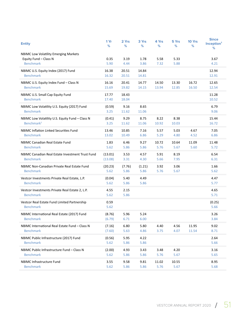| <b>Entity</b>                                                                      | 1 Yr<br>%          | 2 Yrs<br>℅     | 3 Yrs<br>%     | 4 Yrs<br>℅     | 5 Yrs<br>℅     | 10 Yrs<br>%    | <b>Since</b><br>Inception <sup>1</sup><br>% |
|------------------------------------------------------------------------------------|--------------------|----------------|----------------|----------------|----------------|----------------|---------------------------------------------|
| NBIMC Low Volatility Emerging Markets<br>Equity Fund - Class N<br><b>Benchmark</b> | 0.35<br>5.90       | 3.19<br>4.44   | 1.78<br>3.86   | 5.58<br>7.32   | 5.33<br>5.88   |                | 3.67<br>4.21                                |
| NBIMC U.S. Equity Index (2017) Fund<br><b>Benchmark</b>                            | 16.38<br>16.32     | 20.51<br>20.51 | 14.84<br>14.81 |                |                |                | 12.94<br>12.91                              |
| NBIMC U.S. Equity Index Fund - Class N<br><b>Benchmark</b>                         | 16.16<br>15.69     | 20.41<br>19.82 | 14.77<br>14.15 | 14.50<br>13.94 | 13.30<br>12.85 | 16.72<br>16.50 | 12.65<br>12.54                              |
| NBIMC U.S. Small Cap Equity Fund<br><b>Benchmark</b>                               | 17.77<br>17.40     | 18.43<br>18.04 |                |                |                |                | 11.28<br>10.52                              |
| NBIMC Low Volatility U.S. Equity (2017) Fund<br><b>Benchmark</b>                   | (0.59)<br>3.25     | 9.16<br>11.62  | 8.65<br>11.06  |                |                |                | 6.79<br>9.06                                |
| NBIMC Low Volatility U.S. Equity Fund - Class N<br>Benchmark <sup>2</sup>          | (0.41)<br>3.25     | 9.29<br>11.62  | 8.75<br>11.06  | 8.22<br>10.92  | 8.38<br>10.03  |                | 15.44<br>16.72                              |
| <b>NBIMC Inflation Linked Securities Fund</b><br><b>Benchmark</b>                  | 13.46<br>13.02     | 10.85<br>10.49 | 7.16<br>6.86   | 5.57<br>5.29   | 5.03<br>4.80   | 4.67<br>4.52   | 7.05<br>6.86                                |
| <b>NBIMC Canadian Real Estate Fund</b><br><b>Benchmark</b>                         | 1.83<br>5.62       | 6.46<br>5.86   | 9.27<br>5.86   | 10.72<br>5.76  | 10.64<br>5.67  | 11.09<br>5.60  | 11.48<br>5.72                               |
| NBIMC Canadian Real Estate Investment Trust Fund<br><b>Benchmark</b>               | (13.01)<br>(13.08) | 3.53<br>3.31   | 4.57<br>4.30   | 5.91<br>5.66   | 8.19<br>7.95   |                | 6.54<br>6.31                                |
| NBIMC Non-Canadian Private Real Estate Fund<br><b>Benchmark</b>                    | (20.23)<br>5.62    | (7.76)<br>5.86 | (1.21)<br>5.86 | 3.92<br>5.76   | 3.06<br>5.67   |                | 1.66<br>5.62                                |
| Vestcor Investments Private Real Estate, L.P.<br><b>Benchmark</b>                  | (0.04)<br>5.62     | 5.40<br>5.86   | 4.49<br>5.86   |                |                |                | 4.47<br>5.77                                |
| Vestcor Investments Private Real Estate 2, L.P.<br><b>Benchmark</b>                | 4.55<br>5.62       | 2.15<br>5.86   |                |                |                |                | 4.65<br>5.71                                |
| Vestcor Real Estate Fund Limited Partnership<br><b>Benchmark</b>                   | 0.59<br>5.62       |                |                |                |                |                | (0.25)<br>5.66                              |
| NBIMC International Real Estate (2017) Fund<br><b>Benchmark</b>                    | (8.76)<br>(6.79)   | 5.96<br>6.71   | 5.24<br>6.00   |                |                |                | 3.26<br>3.84                                |
| NBIMC International Real Estate Fund - Class N<br><b>Benchmark</b>                 | (7.16)<br>(7.60)   | 6.80<br>5.63   | 5.80<br>4.86   | 4.40<br>3.75   | 4.56<br>4.07   | 11.95<br>11.54 | 9.02<br>8.71                                |
| NBIMC Public Infrastructure (2017) Fund<br><b>Benchmark</b>                        | (0.56)<br>5.62     | 5.95<br>5.86   | 4.22<br>5.86   |                |                |                | 2.64<br>5.66                                |
| NBIMC Public Infrastructure Fund - Class N<br><b>Benchmark</b>                     | (2.00)<br>5.62     | 4.93<br>5.86   | 3.43<br>5.86   | 3.48<br>5.76   | 4.20<br>5.67   |                | 3.16<br>5.65                                |
| <b>NBIMC Infrastructure Fund</b><br><b>Benchmark</b>                               | 3.55<br>5.62       | 9.58<br>5.86   | 9.81<br>5.86   | 11.02<br>5.76  | 10.55<br>5.67  |                | 8.95<br>5.68                                |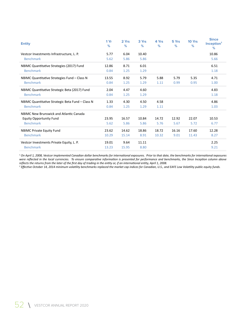| <b>Entity</b>                                    | 1 Yr<br>% | 2 Yrs<br>% | 3 Yrs<br>% | 4 Yrs<br>% | 5 Yrs<br>% | <b>10 Yrs</b><br>% | <b>Since</b><br>Inception <sup>1</sup><br>% |
|--------------------------------------------------|-----------|------------|------------|------------|------------|--------------------|---------------------------------------------|
| Vestcor Investments Infrastructure, L. P.        | 5.77      | 6.04       | 10.40      |            |            |                    | 10.86                                       |
| <b>Benchmark</b>                                 | 5.62      | 5.86       | 5.86       |            |            |                    | 5.66                                        |
| NBIMC Quantitative Strategies (2017) Fund        | 12.86     | 8.71       | 6.01       |            |            |                    | 6.51                                        |
| <b>Benchmark</b>                                 | 0.84      | 1.25       | 1.29       |            |            |                    | 1.18                                        |
| NBIMC Quantitative Strategies Fund - Class N     | 13.55     | 8.92       | 5.79       | 5.88       | 5.79       | 5.35               | 4.71                                        |
| <b>Benchmark</b>                                 | 0.84      | 1.25       | 1.29       | 1.11       | 0.99       | 0.95               | 1.00                                        |
| NBIMC Quantitative Strategic Beta (2017) Fund    | 2.04      | 4.47       | 4.60       |            |            |                    | 4.83                                        |
| <b>Benchmark</b>                                 | 0.84      | 1.25       | 1.29       |            |            |                    | 1.18                                        |
| NBIMC Quantitative Strategic Beta Fund - Class N | 1.33      | 4.30       | 4.50       | 4.58       |            |                    | 4.86                                        |
| <b>Benchmark</b>                                 | 0.84      | 1.25       | 1.29       | 1.11       |            |                    | 1.03                                        |
| NBIMC New Brunswick and Atlantic Canada          |           |            |            |            |            |                    |                                             |
| <b>Equity Opportunity Fund</b>                   | 23.95     | 16.57      | 10.84      | 14.72      | 12.92      | 22.07              | 10.53                                       |
| <b>Benchmark</b>                                 | 5.62      | 5.86       | 5.86       | 5.76       | 5.67       | 5.72               | 6.77                                        |
| <b>NBIMC Private Equity Fund</b>                 | 23.62     | 14.62      | 18.86      | 18.72      | 16.16      | 17.60              | 12.28                                       |
| <b>Benchmark</b>                                 | 10.29     | 15.14      | 8.91       | 10.32      | 9.01       | 11.43              | 8.27                                        |
| Vestcor Investments Private Equity, L. P.        | 19.01     | 9.64       | 11.11      |            |            |                    | 2.25                                        |
| <b>Benchmark</b>                                 | 13.23     | 15.95      | 8.80       |            |            |                    | 9.21                                        |

*1 On April 1, 2008, Vestcor implemented Canadian dollar benchmarks for international exposures. Prior to that date, the benchmarks for international exposures were reflected in the local currencies. To ensure comparative information is presented for performance and benchmarks, the Since Inception column above reflects the returns from the later of the first day of trading in the entity or, if an international entity, April 1, 2008.*

*2 Effective October 14, 2014 minimum volatility benchmarks replaced the market cap indices for Canadian, U.S., and EAFE Low Volatility public equity funds.*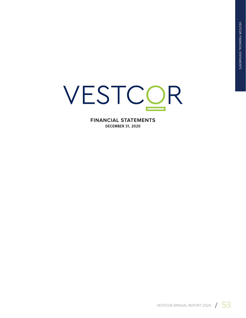# VESTCOR

**FINANCIAL STATEMENTS DECEMBER 31, 2020**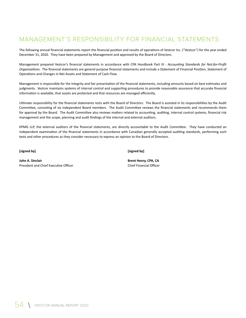## MANAGEMENT'S RESPONSIBILITY FOR FINANCIAL STATEMENTS

The following annual financial statements report the financial position and results of operations of Vestcor Inc. ("Vestcor") for the year ended December 31, 2020. They have been prepared by Management and approved by the Board of Directors.

Management prepared Vestcor's financial statements in accordance with CPA Handbook Part III - *Accounting Standards for Not-for-Profit Organizations*. The financial statements are general purpose financial statements and include a Statement of Financial Position, Statement of Operations and Changes in Net Assets and Statement of Cash Flow.

Management is responsible for the integrity and fair presentation of the financial statements, including amounts based on best estimates and judgments. Vestcor maintains systems of internal control and supporting procedures to provide reasonable assurance that accurate financial information is available, that assets are protected and that resources are managed efficiently.

Ultimate responsibility for the financial statements rests with the Board of Directors. The Board is assisted in its responsibilities by the Audit Committee, consisting of six independent Board members. The Audit Committee reviews the financial statements and recommends them for approval by the Board. The Audit Committee also reviews matters related to accounting, auditing, internal control systems, financial risk management and the scope, planning and audit findings of the internal and external auditors.

KPMG LLP, the external auditors of the financial statements, are directly accountable to the Audit Committee. They have conducted an independent examination of the financial statements in accordance with Canadian generally accepted auditing standards, performing such tests and other procedures as they consider necessary to express an opinion to the Board of Directors.

**[signed by]**

**[signed by]**

**John A. Sinclair** President and Chief Executive Officer

**Brent Henry, CPA, CA** Chief Financial Officer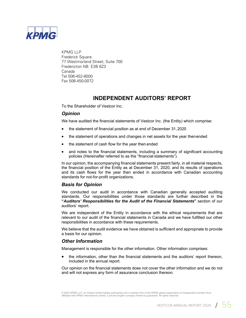

KPMG LLP Frederick Square 77 Westmorland Street, Suite 700 Fredericton NB E3B 6Z3 Canada Tel 506-452-8000 Fax 506-450-0072

## **INDEPENDENT AUDITORS' REPORT**

To the Shareholder of Vestcor Inc.

#### *Opinion*

We have audited the financial statements of Vestcor Inc. (the Entity) which comprise:

- the statement of financial position as at end of December 31, 2020
- the statement of operations and changes in net assets for the year then ended
- the statement of cash flow for the year then ended
- and notes to the financial statements, including a summary of significant accounting policies (Hereinafter referred to as the "financial statements").

In our opinion, the accompanying financial statements present fairly, in all material respects, the financial position of the Entity as at December 31, 2020, and its results of operations and its cash flows for the year then ended in accordance with Canadian accounting standards for not-for-profit organizations.

#### *Basis for Opinion*

We conducted our audit in accordance with Canadian generally accepted auditing standards. Our responsibilities under those standards are further described in the **"***Auditors' Responsibilities for the Audit of the Financial Statements***"** section of our auditors' report.

We are independent of the Entity in accordance with the ethical requirements that are relevant to our audit of the financial statements in Canada and we have fulfilled our other responsibilities in accordance with these requirements.

We believe that the audit evidence we have obtained is sufficient and appropriate to provide a basis for our opinion.

#### *Other Information*

Management is responsible for the other information. Other information comprises:

 the information, other than the financial statements and the auditors' report thereon, included in the annual report.

Our opinion on the financial statements does not cover the other information and we do not and will not express any form of assurance conclusion thereon.

© 2020 KPMG LLP, an Ontario limited liability partnership and a member firm of the KPMG global organization of independent member firms affiliated with KPMG International Limited, a private English company limited by guarantee. All rights reserved.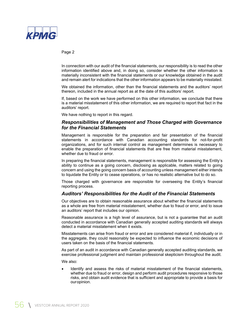

Page 2

In connection with our audit of the financial statements, our responsibility is to read the other information identified above and, in doing so, consider whether the other information is materially inconsistent with the financial statements or our knowledge obtained in the audit and remain alert for indications that the other information appears to be materially misstated.

We obtained the information, other than the financial statements and the auditors' report thereon, included in the annual report as at the date of this auditors' report.

If, based on the work we have performed on this other information, we conclude that there is a material misstatement of this other information, we are required to report that fact in the auditors' report.

We have nothing to report in this regard.

#### *Responsibilities of Management and Those Charged with Governance for the Financial Statements*

Management is responsible for the preparation and fair presentation of the financial statements in accordance with Canadian accounting standards for not-for-profit organizations, and for such internal control as management determines is necessary to enable the preparation of financial statements that are free from material misstatement, whether due to fraud or error.

In preparing the financial statements, management is responsible for assessing the Entity's ability to continue as a going concern, disclosing as applicable, matters related to going concern and using the going concern basis of accounting unless management either intends to liquidate the Entity or to cease operations, or has no realistic alternative but to do so.

Those charged with governance are responsible for overseeing the Entity's financial reporting process.

#### *Auditors' Responsibilities for the Audit of the Financial Statements*

Our objectives are to obtain reasonable assurance about whether the financial statements as a whole are free from material misstatement, whether due to fraud or error, and to issue an auditors' report that includes our opinion.

Reasonable assurance is a high level of assurance, but is not a guarantee that an audit conducted in accordance with Canadian generally accepted auditing standards will always detect a material misstatement when it exists.

Misstatements can arise from fraud or error and are considered material if, individually or in the aggregate, they could reasonably be expected to influence the economic decisions of users taken on the basis of the financial statements.

As part of an audit in accordance with Canadian generally accepted auditing standards, we exercise professional judgment and maintain professional skepticism throughout the audit.

We also:

 Identify and assess the risks of material misstatement of the financial statements, whether due to fraud or error, design and perform audit procedures responsive to those risks, and obtain audit evidence that is sufficient and appropriate to provide a basis for our opinion.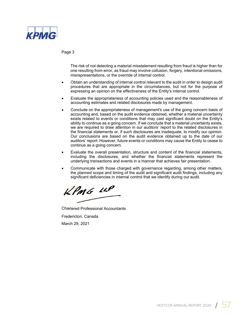

#### Page 3

The risk of not detecting a material misstatement resulting from fraud is higher than for one resulting from error, as fraud may involve collusion, forgery, intentional omissions, misrepresentations, or the override of internal control.

- Obtain an understanding of internal control relevant to the audit in order to design audit procedures that are appropriate in the circumstances, but not for the purpose of expressing an opinion on the effectiveness of the Entity's internal control.
- Evaluate the appropriateness of accounting policies used and the reasonableness of accounting estimates and related disclosures made by management.
- Conclude on the appropriateness of management's use of the going concern basis of accounting and, based on the audit evidence obtained, whether a material uncertainty exists related to events or conditions that may cast significant doubt on the Entity's ability to continue as a going concern. If we conclude that a material uncertainty exists, we are required to draw attention in our auditors' report to the related disclosures in the financial statements or, if such disclosures are inadequate, to modify our opinion. Our conclusions are based on the audit evidence obtained up to the date of our auditors' report. However, future events or conditions may cause the Entity to cease to continue as a going concern.
- Evaluate the overall presentation, structure and content of the financial statements, including the disclosures, and whether the financial statements represent the underlying transactions and events in a manner that achieves fair presentation.
- Communicate with those charged with governance regarding, among other matters, the planned scope and timing of the audit and significant audit findings, including any significant deficiencies in internal control that we identify during our audit.

KPMG LLP

Chartered Professional Accountants Fredericton, Canada

March 29, 2021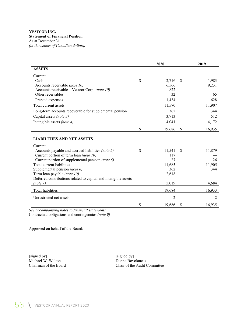#### **VESTCOR INC. Statement of Financial Position**  As at December 31

*(in thousands of Canadian dollars)* 

|                                                                 | 2020 |                |               | 2019           |
|-----------------------------------------------------------------|------|----------------|---------------|----------------|
| <b>ASSETS</b>                                                   |      |                |               |                |
| Current                                                         |      |                |               |                |
| Cash                                                            | \$   | 2,716          | <sup>\$</sup> | 1,983          |
| Accounts receivable (note 10)                                   |      | 6,566          |               | 9,231          |
| Accounts receivable – Vestcor Corp. (note 10)                   |      | 822            |               |                |
| Other receivables                                               |      | 32             |               | 65             |
| Prepaid expenses                                                |      | 1,434          |               | 628            |
| Total current assets                                            |      | 11,570         |               | 11,907         |
| Long-term accounts recoverable for supplemental pension         |      | 362            |               | 344            |
| Capital assets (note 3)                                         |      | 3,713          |               | 512            |
| Intangible assets (note 4)                                      |      | 4,041          |               | 4,172          |
|                                                                 | \$   | 19,686         | \$            | 16,935         |
| <b>LIABILITIES AND NET ASSETS</b>                               |      |                |               |                |
| Current                                                         |      |                |               |                |
| Accounts payable and accrued liabilities (note 5)               | \$   | 11,541         | \$            | 11,879         |
| Current portion of term loan (note 10)                          |      | 117            |               |                |
| Current portion of supplemental pension (note 6)                |      | 27             |               | 26             |
| Total current liabilities                                       |      | 11,685         |               | 11,905         |
| Supplemental pension (note 6)                                   |      | 362            |               | 344            |
| Term loan payable (note 10)                                     |      | 2,618          |               |                |
| Deferred contributions related to capital and intangible assets |      |                |               |                |
| (note 7)                                                        |      | 5,019          |               | 4,684          |
| <b>Total liabilities</b>                                        |      | 19,684         |               | 16,933         |
| Unrestricted net assets                                         |      | $\mathfrak{D}$ |               | $\overline{2}$ |
|                                                                 | \$   | 19,686         | \$            | 16,935         |

*See accompanying notes to financial statements*  Contractual obligations and contingencies *(note 9)* 

Approved on behalf of the Board:

[signed by] [signed by] Michael W. Walton Donna Bovolaneas<br>
Chairman of the Board Chair of the Audit (

Chair of the Audit Committee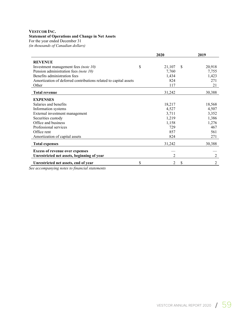#### **VESTCOR INC.**

#### **Statement of Operations and Change in Net Assets**

For the year ended December 31

*(in thousands of Canadian dollars)* 

|                                                                  |    | 2020   |               | 2019   |
|------------------------------------------------------------------|----|--------|---------------|--------|
| <b>REVENUE</b>                                                   |    |        |               |        |
| Investment management fees (note 10)                             | \$ | 21,107 | <sup>\$</sup> | 20,918 |
| Pension administration fees (note 10)                            |    | 7,760  |               | 7,755  |
| Benefits administration fees                                     |    | 1,434  |               | 1,423  |
| Amortization of deferred contributions related to capital assets |    | 824    |               | 271    |
| Other                                                            |    | 117    |               | 21     |
| <b>Total revenue</b>                                             |    | 31,242 |               | 30,388 |
| <b>EXPENSES</b>                                                  |    |        |               |        |
| Salaries and benefits                                            |    | 18,217 |               | 18,568 |
| Information systems                                              |    | 4,527  |               | 4,507  |
| External investment management                                   |    | 3,711  |               | 3,352  |
| Securities custody                                               |    | 1,219  |               | 1,386  |
| Office and business                                              |    | 1,158  |               | 1,276  |
| Professional services                                            |    | 729    |               | 467    |
| Office rent                                                      |    | 857    |               | 561    |
| Amortization of capital assets                                   |    | 824    |               | 271    |
| <b>Total expenses</b>                                            |    | 31,242 |               | 30,388 |
| <b>Excess of revenue over expenses</b>                           |    |        |               |        |
| Unrestricted net assets, beginning of year                       |    | 2      |               | 2      |
| Unrestricted net assets, end of year                             | S  | 2      | S             | 2      |

*See accompanying notes to financial statements*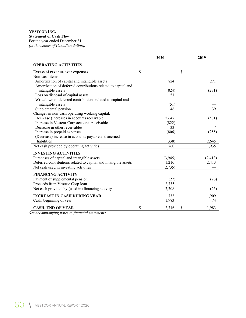## **VESTCOR INC.**

**Statement of Cash Flow** 

For the year ended December 31 *(in thousands of Canadian dollars)* 

|                                                                 | 2020              | 2019     |
|-----------------------------------------------------------------|-------------------|----------|
| <b>OPERATING ACTIVITIES</b>                                     |                   |          |
| <b>Excess of revenue over expenses</b>                          | \$<br>\$          |          |
| Non-cash items:                                                 |                   |          |
| Amortization of capital and intangible assets                   | 824               | 271      |
| Amortization of deferred contributions related to capital and   |                   |          |
| intangible assets                                               | (824)             | (271)    |
| Loss on disposal of capital assets                              | 51                |          |
| Writedown of deferred contributions related to capital and      |                   |          |
| intangible assets                                               | (51)              |          |
| Supplemental pension                                            | 46                | 39       |
| Changes in non-cash operating working capital:                  |                   |          |
| Decrease (increase) in accounts receivable                      | 2,647             | (501)    |
| Increase in Vestcor Corp accounts receivable                    | (822)             |          |
| Decrease in other receivables                                   | 33                | $\tau$   |
| Increase in prepaid expenses                                    | (806)             | (255)    |
| (Decrease) increase in accounts payable and accrued             |                   |          |
| liabilities                                                     | (338)             | 2,645    |
| Net cash provided by operating activities                       | 760               | 1,935    |
| <b>INVESTING ACTIVITIES</b>                                     |                   |          |
| Purchases of capital and intangible assets                      | (3,945)           | (2, 413) |
| Deferred contributions related to capital and intangible assets | 1,210             | 2,413    |
| Net cash used in investing activities                           | (2,735)           |          |
| <b>FINANCING ACTIVITY</b>                                       |                   |          |
| Payment of supplemental pension                                 | (27)              | (26)     |
| Proceeds from Vestcor Corp loan                                 | 2,735             |          |
| Net cash provided by (used in) financing activity               | 2,708             | (26)     |
| <b>INCREASE IN CASH DURING YEAR</b>                             | 733               | 1,909    |
| Cash, beginning of year                                         | 1,983             | 74       |
| <b>CASH, END OF YEAR</b>                                        | \$<br>\$<br>2,716 | 1,983    |

*See accompanying notes to financial statements*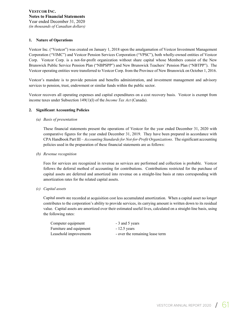#### **1. Nature of Operations**

Vestcor Inc. ("Vestcor") was created on January 1, 2018 upon the amalgamation of Vestcor Investment Management Corporation ("VIMC") and Vestcor Pension Services Corporation ("VPSC"), both wholly-owned entities of Vestcor Corp. Vestcor Corp. is a not-for-profit organization without share capital whose Members consist of the New Brunswick Public Service Pension Plan ("NBPSPP") and New Brunswick Teachers' Pension Plan ("NBTPP"). The Vestcor operating entities were transferred to Vestcor Corp. from the Province of New Brunswick on October 1, 2016.

Vestcor's mandate is to provide pension and benefits administration, and investment management and advisory services to pension, trust, endowment or similar funds within the public sector.

Vestcor recovers all operating expenses and capital expenditures on a cost recovery basis. Vestcor is exempt from income taxes under Subsection 149(1)(l) of the *Income Tax Act* (Canada).

#### **2. Significant Accounting Policies**

*(a) Basis of presentation*

These financial statements present the operations of Vestcor for the year ended December 31, 2020 with comparative figures for the year ended December 31, 2019. They have been prepared in accordance with CPA Handbook Part III – *Accounting Standards for Not-for-Profit Organizations*. The significant accounting policies used in the preparation of these financial statements are as follows:

*(b) Revenue recognition*

Fees for services are recognized in revenue as services are performed and collection is probable. Vestcor follows the deferral method of accounting for contributions. Contributions restricted for the purchase of capital assets are deferred and amortized into revenue on a straight-line basis at rates corresponding with amortization rates for the related capital assets.

*(c) Capital assets*

Capital assets are recorded at acquisition cost less accumulated amortization. When a capital asset no longer contributes to the corporation's ability to provide services, its carrying amount is written down to its residual value. Capital assets are amortized over their estimated useful lives, calculated on a straight-line basis, using the following rates:

| Computer equipment      | - 3 and 5 years                 |
|-------------------------|---------------------------------|
| Furniture and equipment | $-12.5$ years                   |
| Leasehold improvements  | - over the remaining lease term |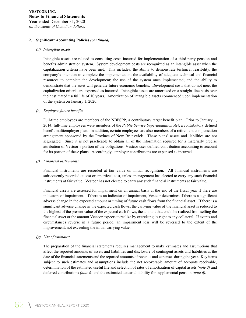#### **2. Significant Accounting Policies** *(continued)*

#### *(d) Intangible assets*

Intangible assets are related to consulting costs incurred for implementation of a third-party pension and benefits administration system. System development costs are recognized as an intangible asset when the capitalization criteria have been met. This includes: the ability to demonstrate technical feasibility; the company's intention to complete the implementation; the availability of adequate technical and financial resources to complete the development; the use of the system once implemented; and the ability to demonstrate that the asset will generate future economic benefits. Development costs that do not meet the capitalization criteria are expensed as incurred. Intangible assets are amortized on a straight-line basis over their estimated useful life of 10 years. Amortization of intangible assets commenced upon implementation of the system on January 1, 2020.

#### *(e) Employee future benefits*

Full-time employees are members of the NBPSPP, a contributory target benefit plan. Prior to January 1, 2014, full-time employees were members of the *Public Service Superannuation Act*, a contributory defined benefit multiemployer plan. In addition, certain employees are also members of a retirement compensation arrangement sponsored by the Province of New Brunswick. These plans' assets and liabilities are not segregated. Since it is not practicable to obtain all of the information required for a materially precise attribution of Vestcor's portion of the obligations, Vestcor uses defined contribution accounting to account for its portion of these plans. Accordingly, employer contributions are expensed as incurred.

#### *(f) Financial instruments*

Financial instruments are recorded at fair value on initial recognition. All financial instruments are subsequently recorded at cost or amortized cost, unless management has elected to carry any such financial instruments at fair value. Vestcor has not elected to carry any such financial instruments at fair value.

Financial assets are assessed for impairment on an annual basis at the end of the fiscal year if there are indicators of impairment. If there is an indicator of impairment, Vestcor determines if there is a significant adverse change in the expected amount or timing of future cash flows from the financial asset. If there is a significant adverse change in the expected cash flows, the carrying value of the financial asset is reduced to the highest of the present value of the expected cash flows, the amount that could be realized from selling the financial asset or the amount Vestcor expects to realize by exercising its right to any collateral. If events and circumstances reverse in a future period, an impairment loss will be reversed to the extent of the improvement, not exceeding the initial carrying value.

#### *(g) Use of estimates*

The preparation of the financial statements requires management to make estimates and assumptions that affect the reported amounts of assets and liabilities and disclosure of contingent assets and liabilities at the date of the financial statements and the reported amounts of revenue and expenses during the year. Key items subject to such estimates and assumptions include the net recoverable amount of accounts receivable, determination of the estimated useful life and selection of rates of amortization of capital assets *(note 3)* and deferred contributions *(note 6)* and the estimated actuarial liability for supplemental pension *(note 6).*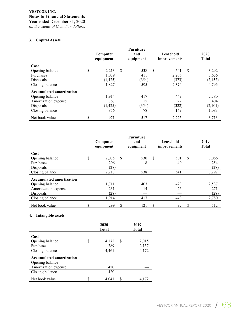*(in thousands of Canadian dollars)*

#### **3. Capital Assets**

|                                 | Computer<br>equipment |               | <b>Furniture</b><br>and<br>equipment | Leasehold<br>improvements |   | 2020<br><b>Total</b> |
|---------------------------------|-----------------------|---------------|--------------------------------------|---------------------------|---|----------------------|
| Cost                            |                       |               |                                      |                           |   |                      |
| Opening balance                 | \$<br>2,213           | <sup>\$</sup> | 538                                  | \$<br>541                 | S | 3,292                |
| Purchases                       | 1,039                 |               | 411                                  | 2,206                     |   | 3,656                |
| Disposals                       | (1, 425)              |               | (354)                                | (373)                     |   | (2,152)              |
| Closing balance                 | 1,827                 |               | 595                                  | 2,374                     |   | 4,796                |
| <b>Accumulated amortization</b> |                       |               |                                      |                           |   |                      |
| Opening balance                 | 1.914                 |               | 417                                  | 449                       |   | 2,780                |
| Amortization expense            | 367                   |               | 15                                   | 22                        |   | 404                  |
| Disposals                       | (1,425)               |               | (354)                                | (322)                     |   | (2,101)              |
| Closing balance                 | 856                   |               | 78                                   | 149                       |   | 1,083                |
| Net book value                  | \$<br>971             |               | 517                                  | 2,225                     |   | 3,713                |

|                                 | Computer<br>equipment | <b>Furniture</b><br>and<br>equipment | Leasehold<br>improvements |              | 2019<br><b>Total</b> |
|---------------------------------|-----------------------|--------------------------------------|---------------------------|--------------|----------------------|
| Cost                            |                       |                                      |                           |              |                      |
| Opening balance                 | \$<br>2,035           | \$<br>530                            | \$<br>501                 | $\mathbb{S}$ | 3,066                |
| Purchases                       | 206                   | 8                                    | 40                        |              | 254                  |
| Disposals                       | (28)                  |                                      |                           |              | (28)                 |
| Closing balance                 | 2,213                 | 538                                  | 541                       |              | 3,292                |
| <b>Accumulated amortization</b> |                       |                                      |                           |              |                      |
| Opening balance                 | 1,711                 | 403                                  | 423                       |              | 2,537                |
| Amortization expense            | 231                   | 14                                   | 26                        |              | 271                  |
| Disposals                       | (28)                  |                                      |                           |              | (28)                 |
| Closing balance                 | 1,914                 | 417                                  | 449                       |              | 2,780                |
| Net book value                  | \$<br>299             | \$<br>121                            | \$<br>92                  | \$           | 512                  |

#### **4. Intangible assets**

|                                 |    | 2020<br><b>Total</b> |   | 2019<br><b>Total</b> |
|---------------------------------|----|----------------------|---|----------------------|
| Cost                            |    |                      |   |                      |
| Opening balance                 | \$ | 4,172                | S | 2,015                |
| Purchases                       |    | 289                  |   | 2,157                |
| Closing balance                 |    | 4,461                |   | 4,172                |
| <b>Accumulated amortization</b> |    |                      |   |                      |
| Opening balance                 |    |                      |   |                      |
| Amortization expense            |    | 420                  |   |                      |
| Closing balance                 |    | 420                  |   |                      |
| Net book value                  | S  | 4.041                |   | 4.172                |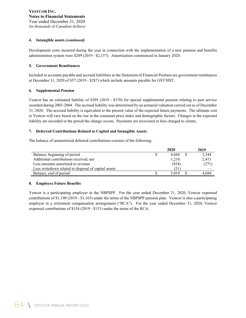#### **4. Intangible assets** *(continued)*

Development costs incurred during the year in connection with the implementation of a new pension and benefits administration system were \$289 (2019 - \$2,157). Amortization commenced in January 2020.

#### **5. Government Remittances**

Included in accounts payable and accrued liabilities in the Statement of Financial Position are government remittances at December 31, 2020 of \$57 (2019 - \$287) which include amounts payable for GST/HST.

#### **6. Supplemental Pension**

Vestcor has an estimated liability of \$389 (2019 - \$370) for special supplemental pension relating to past service awarded during 2003-2004. The accrued liability was determined by an actuarial valuation carried out as of December 31, 2020. The accrued liability is equivalent to the present value of the expected future payments. The ultimate cost to Vestcor will vary based on the rise in the consumer price index and demographic factors. Changes in the expected liability are recorded in the period the change occurs. Payments are recovered in fees charged to clients.

#### **7. Deferred Contributions Related to Capital and Intangible Assets**

The balance of unamortized deferred contributions consists of the following:

|                                                       | 2020  | 2019  |
|-------------------------------------------------------|-------|-------|
| Balance, beginning of period                          | 4.684 | 2,544 |
| Additional contributions received, net                | 1.210 | 2.411 |
| Less amounts amortized to revenue                     | (824) | (271) |
| Less write down related to disposal of capital assets | (51)  |       |
| Balance, end of period                                | 5.019 | 4.684 |

#### **8. Employee Future Benefits**

Vestcor is a participating employer in the NBPSPP. For the year ended December 31, 2020, Vestcor expensed contributions of \$1,190 (2019 - \$1,165) under the terms of the NBPSPP pension plan. Vestcor is also a participating employer in a retirement compensation arrangement ("RCA"). For the year ended December 31, 2020, Vestcor expensed contributions of \$154 (2019 - \$151) under the terms of the RCA.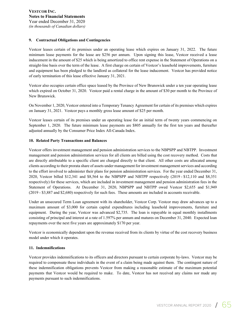#### **9. Contractual Obligations and Contingencies**

Vestcor leases certain of its premises under an operating lease which expires on January 31, 2022. The future minimum lease payments for the lease are \$256 per annum. Upon signing this lease, Vestcor received a lease inducement in the amount of \$25 which is being amortized to office rent expense in the Statement of Operations on a straight-line basis over the term of the lease. A first charge on certain of Vestcor's leasehold improvements, furniture and equipment has been pledged to the landlord as collateral for the lease inducement. Vestcor has provided notice of early termination of this lease effective January 31, 2021.

Vestcor also occupies certain office space leased by the Province of New Brunswick under a ten year operating lease which expired on October 31, 2020. Vestcor paid a rental charge in the amount of \$30 per month to the Province of New Brunswick.

On November 1, 2020, Vestcor entered into a Temporary Tenancy Agreement for certain of its premises which expires on January 31, 2021. Vestcor pays a monthly gross lease amount of \$25 per month.

Vestcor leases certain of its premises under an operating lease for an initial term of twenty years commencing on September 1, 2020. The future minimum lease payments are \$805 annually for the first ten years and thereafter adjusted annually by the Consumer Price Index All-Canada Index.

#### **10. Related Party Transactions and Balances**

Vestcor offers investment management and pension administration services to the NBPSPP and NBTPP. Investment management and pension administration services for all clients are billed using the cost recovery method. Costs that are directly attributable to a specific client are charged directly to that client. All other costs are allocated among clients according to their prorata share of assets under management for investment management services and according to the effort involved to administer their plans for pension administration services. For the year ended December 31, 2020, Vestcor billed \$12,341 and \$8,564 to the NBPSPP and NBTPP respectively (2019 - \$12,110 and \$8,351 respectively) for these services, which are included in investment management and pension administration fees in the Statement of Operations. At December 31, 2020, NBPSPP and NBTPP owed Vestcor \$2,655 and \$1,949 (2019 - \$3,887 and \$2,680) respectively for such fees. These amounts are included in accounts receivable.

Under an unsecured Term Loan agreement with its shareholder, Vestcor Corp. Vestcor may draw advances up to a maximum amount of \$3,000 for certain capital expenditures including leasehold improvements, furniture and equipment. During the year, Vestcor was advanced \$2,735. The loan is repayable in equal monthly installments consisting of principal and interest at a rate of 1.597% per annum and matures on December 31, 2040. Expected loan repayments over the next five years are approximately \$170 per year.

Vestcor is economically dependent upon the revenue received from its clients by virtue of the cost recovery business model under which it operates.

#### **11. Indemnifications**

Vestcor provides indemnifications to its officers and directors pursuant to certain corporate by-laws. Vestcor may be required to compensate these individuals in the event of a claim being made against them. The contingent nature of these indemnification obligations prevents Vestcor from making a reasonable estimate of the maximum potential payments that Vestcor would be required to make. To date, Vestcor has not received any claims nor made any payments pursuant to such indemnifications.